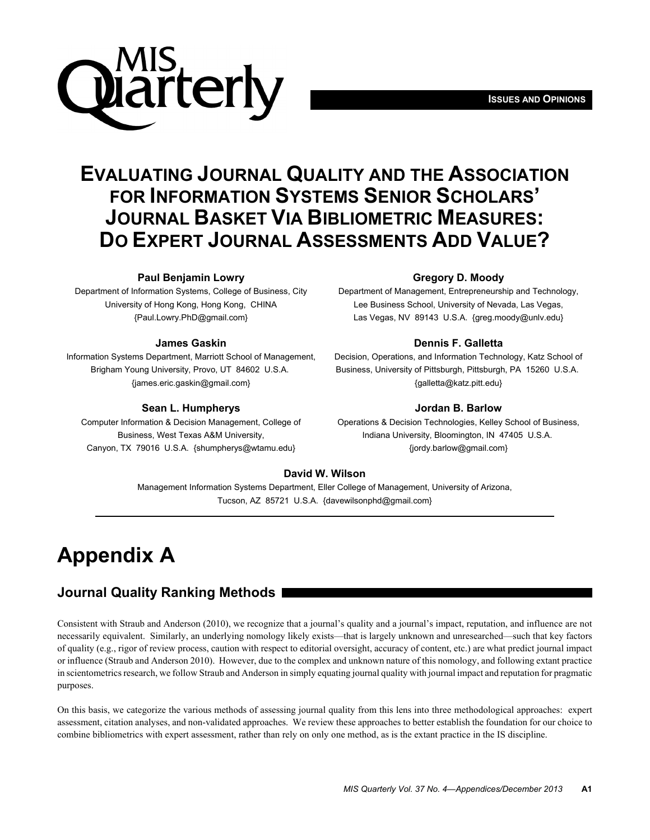# iarterly

# **EVALUATING JOURNAL QUALITY AND THE ASSOCIATION FOR INFORMATION SYSTEMS SENIOR SCHOLARS' JOURNAL BASKET VIA BIBLIOMETRIC MEASURES: DO EXPERT JOURNAL ASSESSMENTS ADD VALUE?**

## **Paul Benjamin Lowry**

Department of Information Systems, College of Business, City University of Hong Kong, Hong Kong, CHINA {Paul.Lowry.PhD@gmail.com}

#### **James Gaskin**

Information Systems Department, Marriott School of Management, Brigham Young University, Provo, UT 84602 U.S.A. {james.eric.gaskin@gmail.com}

#### **Sean L. Humpherys**

Computer Information & Decision Management, College of Business, West Texas A&M University, Canyon, TX 79016 U.S.A. {shumpherys@wtamu.edu}

#### **Gregory D. Moody**

Department of Management, Entrepreneurship and Technology, Lee Business School, University of Nevada, Las Vegas, Las Vegas, NV 89143 U.S.A. {greg.moody@unlv.edu}

#### **Dennis F. Galletta**

Decision, Operations, and Information Technology, Katz School of Business, University of Pittsburgh, Pittsburgh, PA 15260 U.S.A. {galletta@katz.pitt.edu}

#### **Jordan B. Barlow**

Operations & Decision Technologies, Kelley School of Business, Indiana University, Bloomington, IN 47405 U.S.A. {jordy.barlow@gmail.com}

#### **David W. Wilson**

Management Information Systems Department, Eller College of Management, University of Arizona, Tucson, AZ 85721 U.S.A. {davewilsonphd@gmail.com}

# **Appendix A**

# **Journal Quality Ranking Methods**

Consistent with Straub and Anderson (2010), we recognize that a journal's quality and a journal's impact, reputation, and influence are not necessarily equivalent. Similarly, an underlying nomology likely exists—that is largely unknown and unresearched—such that key factors of quality (e.g., rigor of review process, caution with respect to editorial oversight, accuracy of content, etc.) are what predict journal impact or influence (Straub and Anderson 2010). However, due to the complex and unknown nature of this nomology, and following extant practice in scientometrics research, we follow Straub and Anderson in simply equating journal quality with journal impact and reputation for pragmatic purposes.

On this basis, we categorize the various methods of assessing journal quality from this lens into three methodological approaches: expert assessment, citation analyses, and non-validated approaches. We review these approaches to better establish the foundation for our choice to combine bibliometrics with expert assessment, rather than rely on only one method, as is the extant practice in the IS discipline.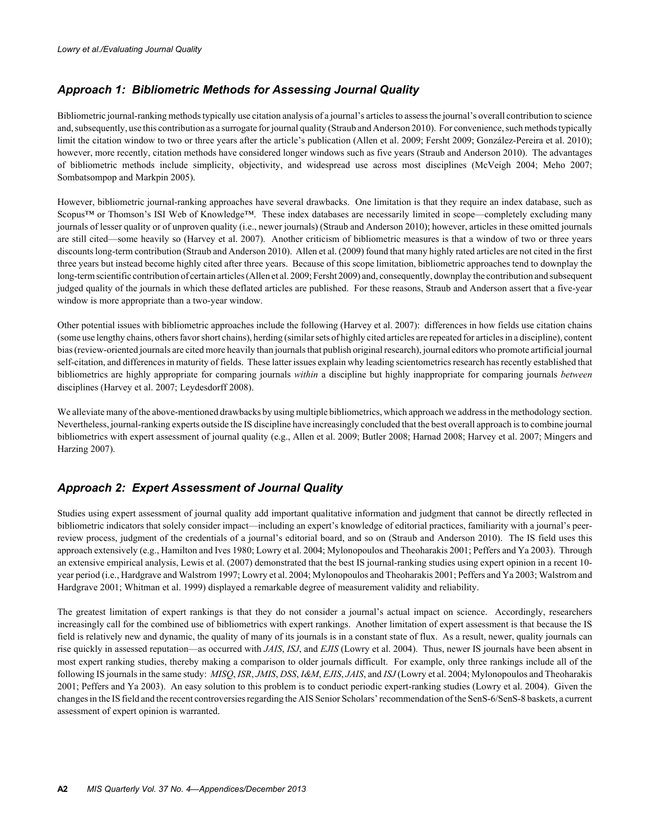# *Approach 1: Bibliometric Methods for Assessing Journal Quality*

Bibliometric journal-ranking methods typically use citation analysis of a journal's articles to assess the journal's overall contribution to science and, subsequently, use this contribution as a surrogate for journal quality (Straub and Anderson 2010). For convenience, such methods typically limit the citation window to two or three years after the article's publication (Allen et al. 2009; Fersht 2009; González-Pereira et al. 2010); however, more recently, citation methods have considered longer windows such as five years (Straub and Anderson 2010). The advantages of bibliometric methods include simplicity, objectivity, and widespread use across most disciplines (McVeigh 2004; Meho 2007; Sombatsompop and Markpin 2005).

However, bibliometric journal-ranking approaches have several drawbacks. One limitation is that they require an index database, such as Scopus™ or Thomson's ISI Web of Knowledge™. These index databases are necessarily limited in scope—completely excluding many journals of lesser quality or of unproven quality (i.e., newer journals) (Straub and Anderson 2010); however, articles in these omitted journals are still cited—some heavily so (Harvey et al. 2007). Another criticism of bibliometric measures is that a window of two or three years discounts long-term contribution (Straub and Anderson 2010). Allen et al. (2009) found that many highly rated articles are not cited in the first three years but instead become highly cited after three years. Because of this scope limitation, bibliometric approaches tend to downplay the long-term scientific contribution of certain articles (Allen et al. 2009; Fersht 2009) and, consequently, downplay the contribution and subsequent judged quality of the journals in which these deflated articles are published. For these reasons, Straub and Anderson assert that a five-year window is more appropriate than a two-year window.

Other potential issues with bibliometric approaches include the following (Harvey et al. 2007): differences in how fields use citation chains (some use lengthy chains, others favor short chains), herding (similar sets of highly cited articles are repeated for articles in a discipline), content bias (review-oriented journals are cited more heavily than journals that publish original research), journal editors who promote artificial journal self-citation, and differences in maturity of fields. These latter issues explain why leading scientometrics research has recently established that bibliometrics are highly appropriate for comparing journals *within* a discipline but highly inappropriate for comparing journals *between* disciplines (Harvey et al. 2007; Leydesdorff 2008).

We alleviate many of the above-mentioned drawbacks by using multiple bibliometrics, which approach we address in the methodology section. Nevertheless, journal-ranking experts outside the IS discipline have increasingly concluded that the best overall approach is to combine journal bibliometrics with expert assessment of journal quality (e.g., Allen et al. 2009; Butler 2008; Harnad 2008; Harvey et al. 2007; Mingers and Harzing 2007).

# *Approach 2: Expert Assessment of Journal Quality*

Studies using expert assessment of journal quality add important qualitative information and judgment that cannot be directly reflected in bibliometric indicators that solely consider impact—including an expert's knowledge of editorial practices, familiarity with a journal's peerreview process, judgment of the credentials of a journal's editorial board, and so on (Straub and Anderson 2010). The IS field uses this approach extensively (e.g., Hamilton and Ives 1980; Lowry et al. 2004; Mylonopoulos and Theoharakis 2001; Peffers and Ya 2003). Through an extensive empirical analysis, Lewis et al. (2007) demonstrated that the best IS journal-ranking studies using expert opinion in a recent 10 year period (i.e., Hardgrave and Walstrom 1997; Lowry et al. 2004; Mylonopoulos and Theoharakis 2001; Peffers and Ya 2003; Walstrom and Hardgrave 2001; Whitman et al. 1999) displayed a remarkable degree of measurement validity and reliability.

The greatest limitation of expert rankings is that they do not consider a journal's actual impact on science. Accordingly, researchers increasingly call for the combined use of bibliometrics with expert rankings. Another limitation of expert assessment is that because the IS field is relatively new and dynamic, the quality of many of its journals is in a constant state of flux. As a result, newer, quality journals can rise quickly in assessed reputation—as occurred with *JAIS*, *ISJ*, and *EJIS* (Lowry et al. 2004). Thus, newer IS journals have been absent in most expert ranking studies, thereby making a comparison to older journals difficult. For example, only three rankings include all of the following IS journals in the same study: *MISQ*, *ISR*, *JMIS*, *DSS*, *I&M*, *EJIS*, *JAIS*, and *ISJ* (Lowry et al. 2004; Mylonopoulos and Theoharakis 2001; Peffers and Ya 2003). An easy solution to this problem is to conduct periodic expert-ranking studies (Lowry et al. 2004). Given the changes in the IS field and the recent controversies regarding the AIS Senior Scholars' recommendation of the SenS-6/SenS-8 baskets, a current assessment of expert opinion is warranted.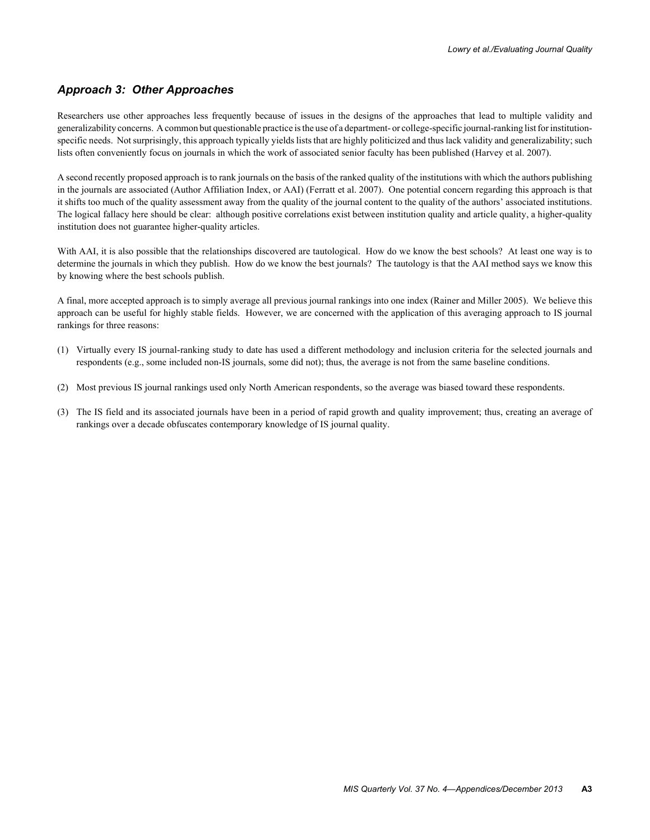# *Approach 3: Other Approaches*

Researchers use other approaches less frequently because of issues in the designs of the approaches that lead to multiple validity and generalizability concerns. A common but questionable practice is the use of a department- or college-specific journal-ranking list for institutionspecific needs. Not surprisingly, this approach typically yields lists that are highly politicized and thus lack validity and generalizability; such lists often conveniently focus on journals in which the work of associated senior faculty has been published (Harvey et al. 2007).

A second recently proposed approach is to rank journals on the basis of the ranked quality of the institutions with which the authors publishing in the journals are associated (Author Affiliation Index, or AAI) (Ferratt et al. 2007). One potential concern regarding this approach is that it shifts too much of the quality assessment away from the quality of the journal content to the quality of the authors' associated institutions. The logical fallacy here should be clear: although positive correlations exist between institution quality and article quality, a higher-quality institution does not guarantee higher-quality articles.

With AAI, it is also possible that the relationships discovered are tautological. How do we know the best schools? At least one way is to determine the journals in which they publish. How do we know the best journals? The tautology is that the AAI method says we know this by knowing where the best schools publish.

A final, more accepted approach is to simply average all previous journal rankings into one index (Rainer and Miller 2005). We believe this approach can be useful for highly stable fields. However, we are concerned with the application of this averaging approach to IS journal rankings for three reasons:

- (1) Virtually every IS journal-ranking study to date has used a different methodology and inclusion criteria for the selected journals and respondents (e.g., some included non-IS journals, some did not); thus, the average is not from the same baseline conditions.
- (2) Most previous IS journal rankings used only North American respondents, so the average was biased toward these respondents.
- (3) The IS field and its associated journals have been in a period of rapid growth and quality improvement; thus, creating an average of rankings over a decade obfuscates contemporary knowledge of IS journal quality.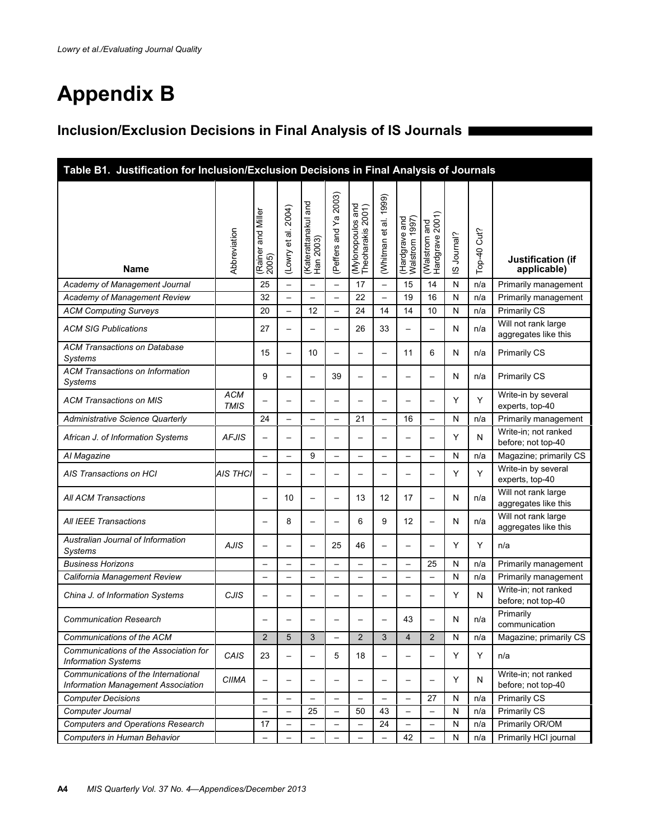# **Appendix B**

# **Inclusion/Exclusion Decisions in Final Analysis of IS Journals**

| Table B1. Justification for Inclusion/Exclusion Decisions in Final Analysis of Journals |                           |                             |                            |                                     |                          |                                        |                          |                                                     |                                  |            |                  |                                             |
|-----------------------------------------------------------------------------------------|---------------------------|-----------------------------|----------------------------|-------------------------------------|--------------------------|----------------------------------------|--------------------------|-----------------------------------------------------|----------------------------------|------------|------------------|---------------------------------------------|
| Name                                                                                    | Abbreviation              | (Rainer and Miller<br>2005) | 2004)<br>ಹ<br>τó<br>(Lowry | and<br>(Katerattanakul<br>Han 2003) | (Peffers and Ya 2003)    | (Mylonopoulos and<br>Theoharakis 2001) | 1999)<br>(Whitman et al. | (Hardgrave and<br>Walstrom 1997)<br><b>Walstrom</b> | (Walstrom and<br>Hardgrave 2001) | S Journal? | Cut?<br>$Top-40$ | Justification (if<br>applicable)            |
| Academy of Management Journal                                                           |                           | 25                          | $\overline{\phantom{0}}$   | $\overline{\phantom{0}}$            | $\qquad \qquad -$        | 17                                     | $\overline{\phantom{0}}$ | 15                                                  | 14                               | ${\sf N}$  | n/a              | Primarily management                        |
| Academy of Management Review                                                            |                           | 32                          | $\overline{\phantom{0}}$   |                                     | $\overline{\phantom{0}}$ | 22                                     | $\qquad \qquad -$        | 19                                                  | 16                               | ${\sf N}$  | n/a              | Primarily management                        |
| <b>ACM Computing Surveys</b>                                                            |                           | 20                          | $\overline{\phantom{0}}$   | 12                                  | $\qquad \qquad -$        | 24                                     | 14                       | 14                                                  | 10                               | ${\sf N}$  | n/a              | Primarily CS                                |
| <b>ACM SIG Publications</b>                                                             |                           | 27                          | $\overline{\phantom{0}}$   |                                     | $\overline{\phantom{0}}$ | 26                                     | 33                       | $\overline{\phantom{0}}$                            | $\overline{\phantom{0}}$         | N          | n/a              | Will not rank large<br>aggregates like this |
| <b>ACM Transactions on Database</b><br>Systems                                          |                           | 15                          | $\overline{\phantom{0}}$   | 10                                  | $\overline{\phantom{0}}$ | $\overline{\phantom{0}}$               |                          | 11                                                  | 6                                | N          | n/a              | <b>Primarily CS</b>                         |
| <b>ACM Transactions on Information</b><br>Systems                                       |                           | 9                           | —                          |                                     | 39                       | $\overline{\phantom{0}}$               |                          | —                                                   | $\overline{\phantom{0}}$         | N          | n/a              | <b>Primarily CS</b>                         |
| <b>ACM Transactions on MIS</b>                                                          | <b>ACM</b><br><b>TMIS</b> |                             | $\overline{\phantom{0}}$   |                                     | $\overline{\phantom{0}}$ | $\overline{\phantom{0}}$               |                          |                                                     |                                  | Y          | Y                | Write-in by several<br>experts, top-40      |
| <b>Administrative Science Quarterly</b>                                                 |                           | 24                          | $\overline{\phantom{0}}$   |                                     | —                        | 21                                     | $\overline{\phantom{0}}$ | 16                                                  | $\overline{\phantom{0}}$         | ${\sf N}$  | n/a              | Primarily management                        |
| African J. of Information Systems                                                       | <b>AFJIS</b>              | $\overline{\phantom{0}}$    | $\overline{\phantom{0}}$   |                                     |                          | $\overline{\phantom{0}}$               |                          |                                                     | $\overline{\phantom{0}}$         | Y          | N                | Write-in; not ranked<br>before; not top-40  |
| Al Magazine                                                                             |                           |                             | $\overline{\phantom{0}}$   | 9                                   | $\overline{\phantom{0}}$ | $\overline{\phantom{0}}$               |                          | $\overline{\phantom{0}}$                            | $\overline{\phantom{0}}$         | N          | n/a              | Magazine; primarily CS                      |
| AIS Transactions on HCI                                                                 | AIS THCI                  | $\overline{\phantom{0}}$    | -                          |                                     | —                        | —                                      |                          |                                                     | $\overline{\phantom{0}}$         | Y          | Y                | Write-in by several<br>experts, top-40      |
| <b>All ACM Transactions</b>                                                             |                           | $\overline{\phantom{0}}$    | 10                         |                                     | $\overline{\phantom{0}}$ | 13                                     | 12                       | 17                                                  | $\overline{\phantom{0}}$         | N          | n/a              | Will not rank large<br>aggregates like this |
| All IEEE Transactions                                                                   |                           | $\overline{\phantom{0}}$    | 8                          |                                     | $\overline{\phantom{0}}$ | 6                                      | 9                        | 12                                                  | $\overline{\phantom{0}}$         | N          | n/a              | Will not rank large<br>aggregates like this |
| Australian Journal of Information<br><b>Systems</b>                                     | <b>AJIS</b>               | $\overline{\phantom{0}}$    | $\overline{\phantom{0}}$   |                                     | 25                       | 46                                     | $\overline{\phantom{0}}$ | —                                                   | $\overline{\phantom{0}}$         | Y          | Y                | n/a                                         |
| <b>Business Horizons</b>                                                                |                           | $\overline{\phantom{0}}$    | $\overline{\phantom{0}}$   |                                     | $\overline{\phantom{0}}$ | $\overline{\phantom{0}}$               | $\overline{\phantom{0}}$ | $\overline{\phantom{0}}$                            | 25                               | N          | n/a              | Primarily management                        |
| California Management Review                                                            |                           | $\overline{\phantom{m}}$    | $\overline{\phantom{0}}$   |                                     | $\overline{\phantom{0}}$ | $\overline{\phantom{0}}$               |                          | $\overline{\phantom{0}}$                            | $\overline{\phantom{0}}$         | ${\sf N}$  | n/a              | Primarily management                        |
| China J. of Information Systems                                                         | CJIS                      | —                           | $\overline{\phantom{0}}$   |                                     | -                        | $\overline{\phantom{0}}$               |                          | —                                                   | —                                | Y          | N                | Write-in: not ranked<br>before; not top-40  |
| <b>Communication Research</b>                                                           |                           |                             |                            |                                     |                          |                                        |                          | 43                                                  | $\overline{\phantom{0}}$         | N          | n/a              | Primarily<br>communication                  |
| Communications of the ACM                                                               |                           | $\overline{c}$              | 5                          | 3                                   | -                        | $\overline{c}$                         | 3                        | 4                                                   | $\overline{\mathbf{c}}$          | ${\sf N}$  | n/a              | Magazine; primarily CS                      |
| Communications of the Association for<br><b>Information Systems</b>                     | CAIS                      | 23                          |                            |                                     | 5                        | 18                                     |                          |                                                     |                                  | Y          | Y                | n/a                                         |
| Communications of the International<br>Information Management Association               | <b>CIIMA</b>              | $\overline{\phantom{0}}$    | $\overline{\phantom{0}}$   |                                     |                          | $\overline{\phantom{0}}$               |                          |                                                     | $\overline{\phantom{0}}$         | Y          | N                | Write-in; not ranked<br>before; not top-40  |
| <b>Computer Decisions</b>                                                               |                           | $\overline{\phantom{m}}$    | $\overline{\phantom{0}}$   |                                     | $\overline{\phantom{0}}$ | $\overline{\phantom{0}}$               |                          | $\overline{\phantom{0}}$                            | 27                               | N          | n/a              | <b>Primarily CS</b>                         |
| Computer Journal                                                                        |                           | $\overline{\phantom{m}}$    | $\overline{\phantom{0}}$   | 25                                  | $\overline{\phantom{m}}$ | 50                                     | 43                       | $\overline{\phantom{0}}$                            | $\overline{\phantom{0}}$         | N          | n/a              | Primarily CS                                |
| <b>Computers and Operations Research</b>                                                |                           | 17                          | $\overline{\phantom{0}}$   |                                     |                          | $\overline{\phantom{0}}$               | 24                       | —                                                   | $\overline{\phantom{0}}$         | N          | n/a              | Primarily OR/OM                             |
| Computers in Human Behavior                                                             |                           | $\overline{\phantom{0}}$    | $\overline{\phantom{0}}$   |                                     | $\overline{\phantom{0}}$ | $\overline{\phantom{0}}$               |                          | 42                                                  |                                  | N          | n/a              | Primarily HCI journal                       |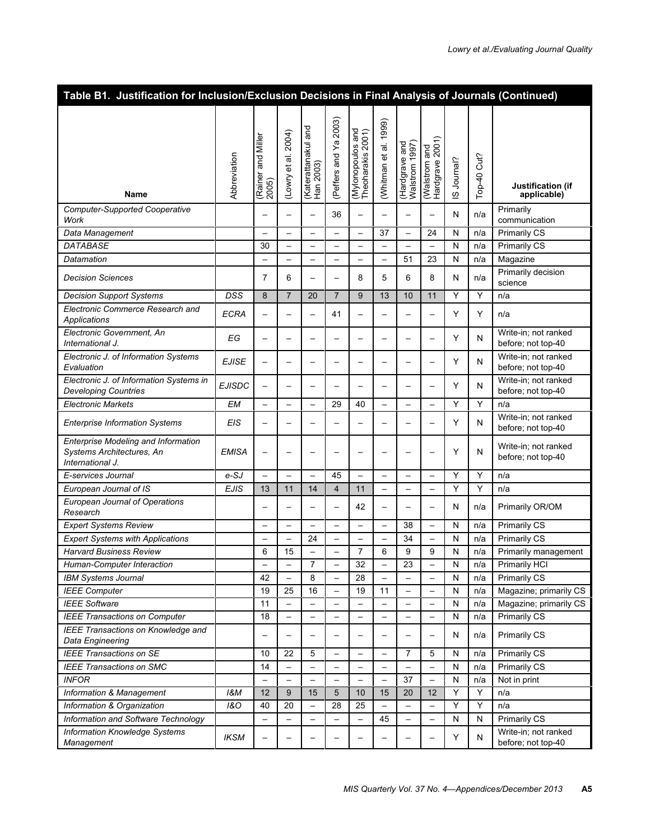| Table B1. Justification for Inclusion/Exclusion Decisions in Final Analysis of Journals (Continued) |                |                          |                          |                                  |                          |                                        |                          |                                  |                                  |            |          |                                            |
|-----------------------------------------------------------------------------------------------------|----------------|--------------------------|--------------------------|----------------------------------|--------------------------|----------------------------------------|--------------------------|----------------------------------|----------------------------------|------------|----------|--------------------------------------------|
|                                                                                                     |                |                          |                          |                                  |                          |                                        |                          |                                  |                                  |            |          |                                            |
|                                                                                                     |                |                          |                          |                                  | (Peffers and Ya 2003)    |                                        | 1999)                    |                                  |                                  |            |          |                                            |
|                                                                                                     |                |                          | 2004)                    | (Katerattanakul and<br>Han 2003) |                          | (Mylonopoulos and<br>Theoharakis 2001) |                          |                                  |                                  |            |          |                                            |
|                                                                                                     |                | and Miller               |                          |                                  |                          |                                        | et al.                   | (Hardgrave and<br>Walstrom 1997) |                                  |            |          |                                            |
|                                                                                                     | Abbreviation   |                          | (Lowry et al.            |                                  |                          |                                        |                          |                                  |                                  | S Journal? | Cut?     |                                            |
|                                                                                                     |                | (Rainer                  |                          |                                  |                          |                                        | (Whitman                 |                                  |                                  |            | $Top-40$ | Justification (if                          |
| <b>Name</b>                                                                                         |                | 2005)                    |                          |                                  |                          |                                        |                          |                                  | (Walstrom and<br>Hardgrave 2001) |            |          | applicable)                                |
| <b>Computer-Supported Cooperative</b><br>Work                                                       |                | $\overline{\phantom{0}}$ | —                        | $\overline{\phantom{0}}$         | 36                       | $\overline{\phantom{0}}$               |                          | $\overline{\phantom{0}}$         | <u>.</u>                         | Ν          | n/a      | Primarily<br>communication                 |
| Data Management                                                                                     |                | $\overline{\phantom{0}}$ | $\overline{\phantom{a}}$ | $\overline{\phantom{0}}$         | $\overline{\phantom{0}}$ | $\overline{\phantom{0}}$               | 37                       | $\overline{\phantom{0}}$         | 24                               | N          | n/a      | <b>Primarily CS</b>                        |
| <b>DATABASE</b>                                                                                     |                | 30                       | $\overline{\phantom{0}}$ | $\overline{\phantom{0}}$         | $\overline{\phantom{0}}$ | —                                      |                          | $\overline{\phantom{0}}$         | $\overline{\phantom{0}}$         | N          | n/a      | <b>Primarily CS</b>                        |
| Datamation                                                                                          |                | -                        | $\overline{\phantom{0}}$ | $\overline{\phantom{0}}$         | $\overline{\phantom{0}}$ | —                                      | $\overline{\phantom{a}}$ | 51                               | 23                               | ${\sf N}$  | n/a      | Magazine                                   |
| <b>Decision Sciences</b>                                                                            |                | $\overline{7}$           | 6                        |                                  | $\overline{\phantom{0}}$ | 8                                      | 5                        | 6                                | 8                                | N          | n/a      | Primarily decision<br>science              |
| <b>Decision Support Systems</b>                                                                     | DSS            | 8                        | $\overline{7}$           | 20                               | $\overline{7}$           | 9                                      | 13                       | 10                               | 11                               | Y          | Y        | n/a                                        |
| Electronic Commerce Research and<br>Applications                                                    | <b>ECRA</b>    | $\overline{\phantom{0}}$ | $\overline{\phantom{0}}$ |                                  | 41                       | $\overline{\phantom{0}}$               |                          | $\overline{\phantom{0}}$         | $\overline{\phantom{0}}$         | Y          | Y        | n/a                                        |
| Electronic Government. An<br>International J.                                                       | ЕG             | $\overline{\phantom{0}}$ |                          | $\overline{\phantom{0}}$         | $\overline{\phantom{0}}$ | $\overline{\phantom{0}}$               |                          | $\overline{\phantom{0}}$         | $\overline{\phantom{0}}$         | Y          | N        | Write-in: not ranked<br>before; not top-40 |
| Electronic J. of Information Systems                                                                |                |                          |                          |                                  |                          |                                        |                          |                                  |                                  |            |          | Write-in; not ranked                       |
| Evaluation                                                                                          | <b>EJISE</b>   | $\overline{\phantom{0}}$ | —                        |                                  | $\overline{\phantom{0}}$ | —                                      |                          | $\overline{\phantom{0}}$         | $\overline{\phantom{0}}$         | Y          | N        | before; not top-40                         |
| Electronic J. of Information Systems in<br><b>Developing Countries</b>                              | <b>EJISDC</b>  | $\overline{\phantom{0}}$ |                          |                                  |                          |                                        |                          | —                                |                                  | Y          | N        | Write-in; not ranked<br>before; not top-40 |
| <b>Electronic Markets</b>                                                                           | <b>EM</b>      |                          |                          | —                                | 29                       | 40                                     | $\overline{\phantom{0}}$ |                                  | $\overline{\phantom{0}}$         | Y          | Y        | n/a                                        |
| <b>Enterprise Information Systems</b>                                                               | <b>EIS</b>     | $\overline{\phantom{0}}$ |                          |                                  |                          | —                                      |                          | —                                | $\overline{\phantom{0}}$         | Y          | N        | Write-in; not ranked<br>before; not top-40 |
| Enterprise Modeling and Information<br>Systems Architectures, An<br>International J.                | EMISA          | —                        | —                        | —                                | $\overline{\phantom{0}}$ | —                                      |                          | —                                | $\overline{\phantom{0}}$         | Υ          | N        | Write-in; not ranked<br>before; not top-40 |
| E-services Journal                                                                                  | $e-SJ$         | $\overline{\phantom{0}}$ |                          |                                  | 45                       | —                                      |                          | $\overline{\phantom{0}}$         | $\overline{\phantom{0}}$         | Y          | Y        | n/a                                        |
| European Journal of IS                                                                              | <b>EJIS</b>    | 13                       | 11                       | 14                               | $\overline{4}$           | 11                                     |                          |                                  | $\overline{\phantom{0}}$         | Y          | Y        | n/a                                        |
| <b>European Journal of Operations</b><br>Research                                                   |                | —                        | -                        |                                  | $\overline{\phantom{0}}$ | 42                                     |                          |                                  | $\overline{\phantom{0}}$         | N          | n/a      | Primarily OR/OM                            |
| <b>Expert Systems Review</b>                                                                        |                |                          | $\qquad \qquad -$        |                                  | $\overline{\phantom{0}}$ | $\qquad \qquad -$                      | $\overline{\phantom{0}}$ | 38                               | $\overline{\phantom{0}}$         | ${\sf N}$  | n/a      | <b>Primarily CS</b>                        |
| <b>Expert Systems with Applications</b>                                                             |                |                          |                          | 24                               | $\overline{\phantom{0}}$ | $\overline{\phantom{0}}$               |                          | 34                               | $\overline{\phantom{0}}$         | N          | n/a      | Primarily CS                               |
| <b>Harvard Business Review</b>                                                                      |                | 6                        | 15                       | $\overline{\phantom{0}}$         | $\overline{\phantom{0}}$ | 7                                      | 6                        | 9                                | 9                                | N          | n/a      | Primarily management                       |
| Human-Computer Interaction                                                                          |                |                          |                          | 7                                |                          | $\overline{32}$                        |                          | 23                               |                                  | N          | n/a      | Primarily HCI                              |
| <b>IBM Systems Journal</b>                                                                          |                | 42                       |                          | 8                                |                          | 28                                     |                          | $\overline{\phantom{0}}$         | $\overline{\phantom{0}}$         | N          | n/a      | <b>Primarily CS</b>                        |
| <b>IEEE Computer</b>                                                                                |                | 19                       | 25                       | 16                               | $\qquad \qquad -$        | 19                                     | 11                       | $\qquad \qquad -$                | $\overline{\phantom{0}}$         | N          | n/a      | Magazine; primarily CS                     |
| <b>IEEE Software</b>                                                                                |                | 11                       | $\qquad \qquad -$        |                                  | $\qquad \qquad -$        | —                                      |                          |                                  | $\overline{\phantom{0}}$         | ${\sf N}$  | n/a      | Magazine; primarily CS                     |
| <b>IEEE Transactions on Computer</b>                                                                |                | 18                       | $\qquad \qquad -$        | $\overline{\phantom{0}}$         | $\overline{\phantom{0}}$ | $\qquad \qquad -$                      | $\qquad \qquad -$        | $\qquad \qquad -$                | $\overline{\phantom{0}}$         | N          | n/a      | <b>Primarily CS</b>                        |
| <b>IEEE Transactions on Knowledge and</b><br>Data Engineering                                       |                | —                        |                          |                                  |                          |                                        |                          |                                  | $\overline{\phantom{0}}$         | N          | n/a      | <b>Primarily CS</b>                        |
| <b>IEEE Transactions on SE</b>                                                                      |                | 10                       | 22                       | 5                                |                          |                                        |                          | 7                                | 5                                | N          | n/a      | <b>Primarily CS</b>                        |
| <b>IEEE Transactions on SMC</b>                                                                     |                | 14                       | $\qquad \qquad -$        |                                  | $\overline{\phantom{0}}$ |                                        |                          |                                  | —                                | N          | n/a      | <b>Primarily CS</b>                        |
| <b>INFOR</b>                                                                                        |                | $\overline{\phantom{0}}$ | $\overline{\phantom{0}}$ |                                  | $\overline{\phantom{0}}$ | —                                      |                          | 37                               | $\overline{\phantom{0}}$         | N          | n/a      | Not in print                               |
| Information & Management                                                                            | <b>1&amp;M</b> | 12                       | 9                        | 15                               | 5                        | 10                                     | 15                       | 20                               | 12                               | Υ          | Υ        | n/a                                        |
| Information & Organization                                                                          | <b>1&amp;O</b> | 40                       | 20                       | —                                | 28                       | 25                                     |                          | $\qquad \qquad -$                | $\overline{\phantom{0}}$         | Υ          | Υ        | n/a                                        |
| Information and Software Technology                                                                 |                | $\qquad \qquad -$        | $\qquad \qquad -$        | —                                | $\qquad \qquad -$        | $\qquad \qquad -$                      | 45                       | $\qquad \qquad -$                | —                                | N          | N        | <b>Primarily CS</b>                        |
| <b>Information Knowledge Systems</b><br>Management                                                  | <b>IKSM</b>    | —                        |                          |                                  |                          | —                                      |                          | —                                | —                                | Y          | N        | Write-in; not ranked<br>before; not top-40 |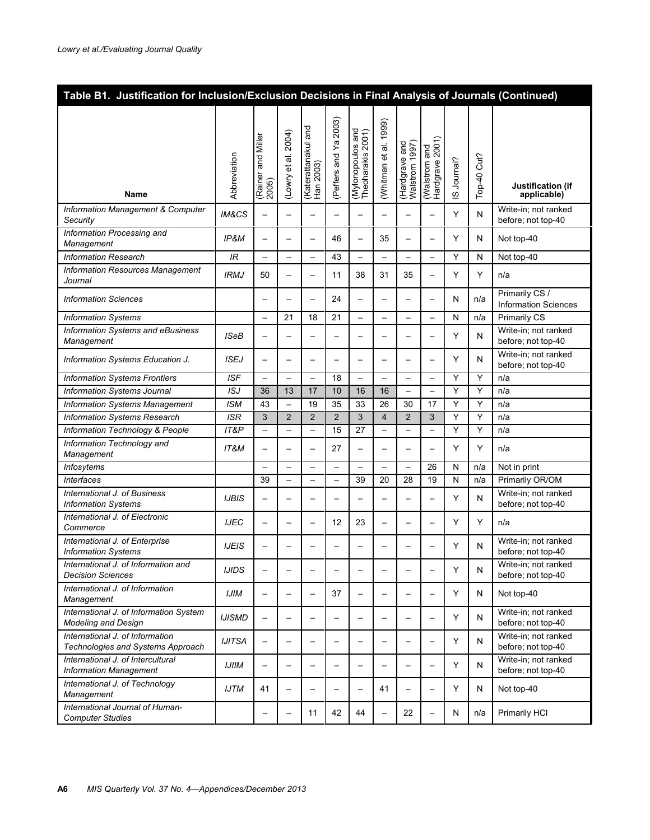| Table B1. Justification for Inclusion/Exclusion Decisions in Final Analysis of Journals (Continued) |                  |                                |                          |                                  |                          |                                        |                          |                                 |                                  |              |                  |                                               |
|-----------------------------------------------------------------------------------------------------|------------------|--------------------------------|--------------------------|----------------------------------|--------------------------|----------------------------------------|--------------------------|---------------------------------|----------------------------------|--------------|------------------|-----------------------------------------------|
| <b>Name</b>                                                                                         | Abbreviation     | and Miller<br>Rainer<br>(2005) | (Lowry et al. 2004)      | (Katerattanakul and<br>Han 2003) | 2003)<br>(Peffers and Ya | (Mylonopoulos and<br>Theoharakis 2001) | (Whitman et al. 1999)    | Hardgrave and<br>Walstrom 1997) | Hardgrave 2001)<br>(Walstrom and | S Journal?   | Cut?<br>$Top-40$ | Justification (if<br>applicable)              |
| Information Management & Computer<br>Security                                                       | <b>IM&amp;CS</b> | $\overline{\phantom{0}}$       | —                        |                                  | $\overline{\phantom{0}}$ | —                                      |                          | —                               | $\overline{\phantom{0}}$         | Y            | N                | Write-in; not ranked<br>before; not top-40    |
| Information Processing and<br>Management                                                            | IP&M             | $\overline{\phantom{0}}$       |                          |                                  | 46                       | —                                      | 35                       | —                               | $\overline{\phantom{0}}$         | Y            | N                | Not top-40                                    |
| <b>Information Research</b>                                                                         | IR               | $\overline{\phantom{0}}$       | $\overline{\phantom{0}}$ | $\overline{\phantom{0}}$         | 43                       | $\overline{\phantom{0}}$               | $\overline{\phantom{0}}$ | $\overline{\phantom{0}}$        | $\overline{\phantom{0}}$         | Y            | N                | Not top-40                                    |
| <b>Information Resources Management</b><br>Journal                                                  | <b>IRMJ</b>      | 50                             | —                        |                                  | 11                       | 38                                     | 31                       | 35                              | $\overline{\phantom{0}}$         | Y            | Y                | n/a                                           |
| <b>Information Sciences</b>                                                                         |                  | $\overline{\phantom{0}}$       | $\overline{\phantom{0}}$ |                                  | 24                       | $\overline{\phantom{0}}$               |                          | $\overline{\phantom{0}}$        | $\overline{\phantom{0}}$         | N            | n/a              | Primarily CS /<br><b>Information Sciences</b> |
| <b>Information Systems</b>                                                                          |                  | $\overline{\phantom{0}}$       | 21                       | 18                               | 21                       | $\overline{\phantom{0}}$               | $\overline{\phantom{0}}$ | $\overline{\phantom{0}}$        | $\overline{\phantom{0}}$         | $\mathsf{N}$ | n/a              | <b>Primarily CS</b>                           |
| Information Systems and eBusiness<br>Management                                                     | <b>ISeB</b>      | $\overline{\phantom{0}}$       |                          |                                  | $\overline{\phantom{0}}$ | —                                      |                          | $\overline{\phantom{0}}$        |                                  | Y            | N                | Write-in; not ranked<br>before; not top-40    |
| Information Systems Education J.                                                                    | <b>ISEJ</b>      |                                | —                        |                                  | $\overline{\phantom{0}}$ | —                                      |                          | $\overline{\phantom{0}}$        | _                                | Y            | N                | Write-in: not ranked<br>before; not top-40    |
| <b>Information Systems Frontiers</b>                                                                | <b>ISF</b>       |                                |                          | $\overline{\phantom{0}}$         | 18                       | $\overline{\phantom{0}}$               |                          | $\overline{\phantom{0}}$        | $\overline{\phantom{0}}$         | Y            | Y                | n/a                                           |
| Information Systems Journal                                                                         | ISJ              | 36                             | 13                       | 17                               | 10                       | 16                                     | 16                       | $\overline{\phantom{0}}$        | $\overline{\phantom{0}}$         | Y            | Y                | n/a                                           |
| <b>Information Systems Management</b>                                                               | <b>ISM</b>       | 43                             | $\overline{\phantom{0}}$ | 19                               | 35                       | 33                                     | 26                       | 30                              | 17                               | Y            | Υ                | n/a                                           |
| Information Systems Research                                                                        | ISR              | 3                              | $\overline{2}$           | $\overline{2}$                   | $\overline{2}$           | 3                                      | $\overline{\mathbf{4}}$  | $\overline{2}$                  | 3                                | Y            | Y                | n/a                                           |
| Information Technology & People                                                                     | IT&P             | $\overline{\phantom{0}}$       |                          |                                  | 15                       | 27                                     |                          | $\overline{\phantom{0}}$        | —                                | Y            | Y                | n/a                                           |
| Information Technology and<br>Management                                                            | IT&M             |                                | —                        |                                  | 27                       | —                                      |                          | $\overline{\phantom{0}}$        | $\overline{\phantom{0}}$         | Y            | Y                | n/a                                           |
| Infosytems                                                                                          |                  |                                |                          |                                  |                          | $\overline{\phantom{0}}$               |                          | $\overline{\phantom{0}}$        | 26                               | N            | n/a              | Not in print                                  |
| <b>Interfaces</b>                                                                                   |                  | 39                             |                          |                                  | $\overline{\phantom{0}}$ | 39                                     | 20                       | 28                              | 19                               | $\mathsf{N}$ | n/a              | Primarily OR/OM                               |
| International J. of Business<br><b>Information Systems</b>                                          | <b>IJBIS</b>     |                                | —                        |                                  | $\overline{\phantom{0}}$ | —                                      |                          | $\overline{\phantom{0}}$        | $\overline{\phantom{0}}$         | Y            | N                | Write-in; not ranked<br>before; not top-40    |
| International J. of Electronic<br>Commerce                                                          | <b>IJEC</b>      | $\overline{\phantom{0}}$       |                          |                                  | 12                       | 23                                     |                          | $\overline{\phantom{0}}$        | $\overline{\phantom{0}}$         | Υ            | Y                | n/a                                           |
| International J. of Enterprise<br><b>Information Systems</b>                                        | <b>IJEIS</b>     | $\overline{\phantom{0}}$       |                          |                                  |                          |                                        |                          |                                 |                                  | Y            | N                | Write-in; not ranked<br>before; not top-40    |
| International J. of Information and<br><b>Decision Sciences</b>                                     | <b>IJIDS</b>     |                                | $\overline{\phantom{0}}$ | $\overline{\phantom{0}}$         |                          | -                                      |                          | $\overline{\phantom{0}}$        | $\overline{\phantom{0}}$         | Υ            | N                | Write-in; not ranked<br>before; not top-40    |
| International J. of Information<br>Management                                                       | <b>IJIM</b>      | $\qquad \qquad -$              | $\overline{\phantom{0}}$ |                                  | 37                       | $\overline{\phantom{0}}$               |                          | —                               | $\overline{\phantom{0}}$         | Y            | N                | Not top-40                                    |
| International J. of Information System<br><b>Modeling and Design</b>                                | <b>IJISMD</b>    | $\overline{\phantom{0}}$       | $\overline{\phantom{0}}$ |                                  | $\overline{\phantom{0}}$ | $\overline{\phantom{0}}$               |                          | $\overline{\phantom{0}}$        | $\overline{\phantom{0}}$         | Y            | N                | Write-in; not ranked<br>before; not top-40    |
| International J. of Information<br>Technologies and Systems Approach                                | <b>IJITSA</b>    | $\qquad \qquad -$              | $\overline{\phantom{0}}$ |                                  | $\overline{\phantom{0}}$ | $\overline{\phantom{0}}$               |                          | $\overline{\phantom{0}}$        | $\overline{\phantom{0}}$         | Y            | N                | Write-in; not ranked<br>before; not top-40    |
| International J. of Intercultural<br><b>Information Management</b>                                  | <b>IJIIM</b>     |                                | $\overline{\phantom{0}}$ |                                  | $\overline{\phantom{0}}$ | $\overline{\phantom{0}}$               |                          | $\overline{\phantom{0}}$        | $\overline{\phantom{0}}$         | Y            | N                | Write-in; not ranked<br>before; not top-40    |
| International J. of Technology<br>Management                                                        | <b>IJTM</b>      | 41                             | $\overline{\phantom{0}}$ |                                  | $\overline{\phantom{0}}$ | $\overline{\phantom{0}}$               | 41                       | $\overline{\phantom{0}}$        | $\overline{\phantom{0}}$         | Y            | N                | Not top-40                                    |
| International Journal of Human-<br><b>Computer Studies</b>                                          |                  |                                | $\qquad \qquad -$        | 11                               | 42                       | 44                                     |                          | 22                              | $\overline{\phantom{0}}$         | N            | n/a              | Primarily HCI                                 |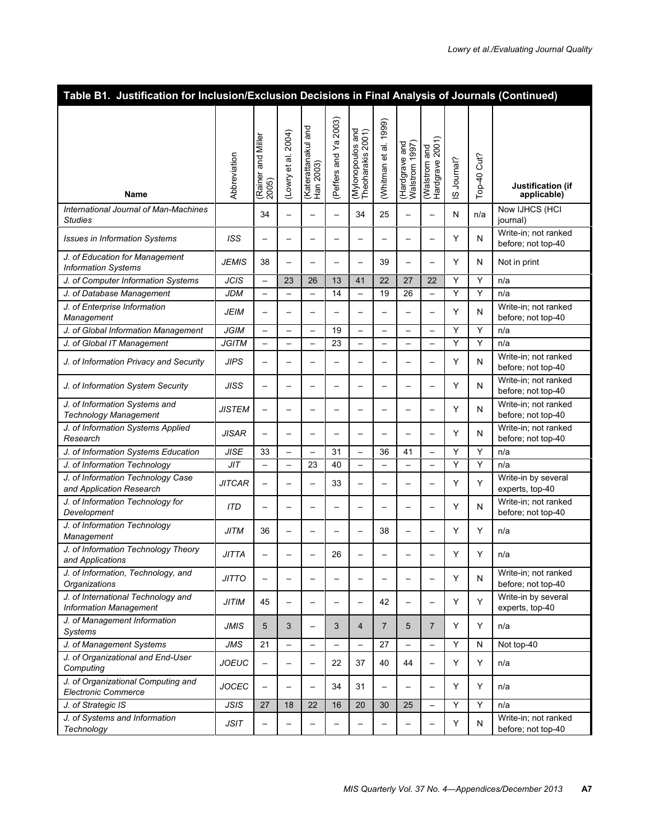| Table B1. Justification for Inclusion/Exclusion Decisions in Final Analysis of Journals (Continued) |               |                                |                          |                                  |                          |                                        |                          |                                                     |                                  |            |                  |                                            |
|-----------------------------------------------------------------------------------------------------|---------------|--------------------------------|--------------------------|----------------------------------|--------------------------|----------------------------------------|--------------------------|-----------------------------------------------------|----------------------------------|------------|------------------|--------------------------------------------|
| <b>Name</b>                                                                                         | Abbreviation  | and Miller<br>(Rainer<br>2005) | (Lowry et al. 2004)      | (Katerattanakul and<br>Han 2003) | (Peffers and Ya 2003)    | (Mylonopoulos and<br>Theoharakis 2001) | 1999)<br>(Whitman et al. | (Hardgrave and<br>Walstrom 1997)<br><b>Walstrom</b> | (Walstrom and<br>Hardgrave 2001) | S Journal? | Cut?<br>$Top-40$ | Justification (if<br>applicable)           |
| International Journal of Man-Machines<br><b>Studies</b>                                             |               | 34                             | $\overline{\phantom{0}}$ |                                  | $\overline{\phantom{0}}$ | 34                                     | 25                       | -                                                   | <u>.</u>                         | Ν          | n/a              | Now IJHCS (HCI<br>journal)                 |
| <b>Issues in Information Systems</b>                                                                | ISS           | $\overline{\phantom{0}}$       | <u>.</u>                 |                                  |                          | $\overline{\phantom{0}}$               |                          | $\overline{\phantom{0}}$                            | $\overline{\phantom{0}}$         | Y          | N                | Write-in; not ranked<br>before; not top-40 |
| J. of Education for Management<br><b>Information Systems</b>                                        | <b>JEMIS</b>  | 38                             | $\overline{\phantom{0}}$ |                                  | $\overline{\phantom{0}}$ | $\overline{\phantom{0}}$               | 39                       | $\overline{\phantom{0}}$                            | $\overline{\phantom{0}}$         | Y          | N                | Not in print                               |
| J. of Computer Information Systems                                                                  | <b>JCIS</b>   | $\qquad \qquad -$              | 23                       | 26                               | 13                       | 41                                     | 22                       | 27                                                  | 22                               | Υ          | Y                | n/a                                        |
| J. of Database Management                                                                           | <b>JDM</b>    | $\qquad \qquad -$              | $\overline{\phantom{0}}$ | $\overline{\phantom{0}}$         | 14                       | $\overline{\phantom{0}}$               | 19                       | 26                                                  | $\overline{\phantom{0}}$         | Y          | Y                | n/a                                        |
| J. of Enterprise Information<br>Management                                                          | JEIM          |                                | —                        |                                  | —                        | $\overline{\phantom{0}}$               |                          | —                                                   |                                  | Y          | N                | Write-in; not ranked<br>before; not top-40 |
| J. of Global Information Management                                                                 | <b>JGIM</b>   | $\overline{\phantom{0}}$       | —                        | $\qquad \qquad -$                | 19                       | —                                      |                          | $\qquad \qquad -$                                   |                                  | Y          | Y                | n/a                                        |
| J. of Global IT Management                                                                          | <b>JGITM</b>  | $\qquad \qquad -$              | —                        |                                  | 23                       | —                                      |                          | $\overline{\phantom{0}}$                            | —                                | Y          | Y                | n/a                                        |
| J. of Information Privacy and Security                                                              | <b>JIPS</b>   | $\overline{\phantom{0}}$       | —                        |                                  | —                        | $\overline{\phantom{0}}$               |                          | —                                                   | <u>.</u>                         | Y          | N                | Write-in; not ranked<br>before; not top-40 |
| J. of Information System Security                                                                   | <b>JISS</b>   | $\overline{\phantom{0}}$       |                          |                                  | —                        |                                        |                          | —                                                   |                                  | Y          | N                | Write-in; not ranked<br>before; not top-40 |
| J. of Information Systems and<br><b>Technology Management</b>                                       | <b>JISTEM</b> | $\overline{\phantom{0}}$       | —                        |                                  | —                        | $\overline{\phantom{0}}$               |                          |                                                     | $\overline{\phantom{0}}$         | Y          | N                | Write-in; not ranked<br>before; not top-40 |
| J. of Information Systems Applied<br>Research                                                       | <b>JISAR</b>  | $\overline{\phantom{0}}$       | —                        |                                  |                          | $\overline{\phantom{0}}$               |                          |                                                     | —                                | Y          | N                | Write-in; not ranked<br>before; not top-40 |
| J. of Information Systems Education                                                                 | <b>JISE</b>   | 33                             | —                        | $\qquad \qquad -$                | 31                       | —                                      | 36                       | 41                                                  | $\qquad \qquad -$                | Υ          | Υ                | n/a                                        |
| J. of Information Technology                                                                        | JIT           | $\qquad \qquad -$              | —                        | 23                               | 40                       | $\overline{\phantom{0}}$               |                          | $\qquad \qquad -$                                   |                                  | Y          | Y                | n/a                                        |
| J. of Information Technology Case<br>and Application Research                                       | <b>JITCAR</b> |                                | —                        |                                  | 33                       | $\overline{\phantom{0}}$               |                          | -                                                   | $\overline{\phantom{0}}$         | Y          | Υ                | Write-in by several<br>experts, top-40     |
| J. of Information Technology for<br>Development                                                     | <b>ITD</b>    | $\overline{\phantom{0}}$       | —                        |                                  | -                        | $\overline{\phantom{0}}$               |                          | -                                                   | -                                | Y          | N                | Write-in; not ranked<br>before; not top-40 |
| J. of Information Technology<br>Management                                                          | <b>JITM</b>   | 36                             | $\overline{\phantom{0}}$ |                                  | $\overline{\phantom{0}}$ | $\overline{\phantom{0}}$               | 38                       | $\overline{\phantom{0}}$                            | $\overline{\phantom{0}}$         | Y          | Y                | n/a                                        |
| J. of Information Technology Theory<br>and Applications                                             | <b>JITTA</b>  | $\overline{\phantom{0}}$       |                          |                                  | 26                       |                                        |                          |                                                     |                                  | Y          | Υ                | n/a                                        |
| J. of Information, Technology, and<br>Organizations                                                 | <b>JITTO</b>  |                                |                          |                                  |                          |                                        |                          |                                                     |                                  | Y          | N                | Write-in; not ranked<br>before; not top-40 |
| J. of International Technology and<br><b>Information Management</b>                                 | <b>JITIM</b>  | 45                             | $\overline{\phantom{0}}$ |                                  | $\overline{\phantom{0}}$ | $\overline{\phantom{0}}$               | 42                       | $\overline{\phantom{0}}$                            | —                                | Y          | Y                | Write-in by several<br>experts, top-40     |
| J. of Management Information<br><b>Systems</b>                                                      | <b>JMIS</b>   | 5                              | 3                        |                                  | 3                        | $\overline{4}$                         | $\overline{7}$           | 5                                                   | $\overline{7}$                   | Y          | Y                | n/a                                        |
| J. of Management Systems                                                                            | JMS           | 21                             | $\overline{\phantom{m}}$ | $\overline{\phantom{0}}$         |                          | $\overline{\phantom{0}}$               | 27                       | $\overline{\phantom{0}}$                            | $\overline{\phantom{0}}$         | Y          | N                | Not top-40                                 |
| J. of Organizational and End-User<br>Computing                                                      | <b>JOEUC</b>  | $\qquad \qquad -$              | $\overline{\phantom{0}}$ |                                  | 22                       | 37                                     | 40                       | 44                                                  | $\overline{\phantom{0}}$         | Υ          | Y                | n/a                                        |
| J. of Organizational Computing and<br><b>Electronic Commerce</b>                                    | <b>JOCEC</b>  | $\qquad \qquad -$              | —                        |                                  | 34                       | 31                                     | $\qquad \qquad -$        | $\overline{\phantom{0}}$                            | $\overline{\phantom{0}}$         | Y          | Y                | n/a                                        |
| J. of Strategic IS                                                                                  | <b>JSIS</b>   | 27                             | 18                       | 22                               | 16                       | 20                                     | 30                       | 25                                                  |                                  | Υ          | Y                | n/a                                        |
| J. of Systems and Information<br>Technology                                                         | <b>JSIT</b>   | —                              |                          |                                  |                          | —                                      |                          |                                                     |                                  | Υ          | N                | Write-in; not ranked<br>before; not top-40 |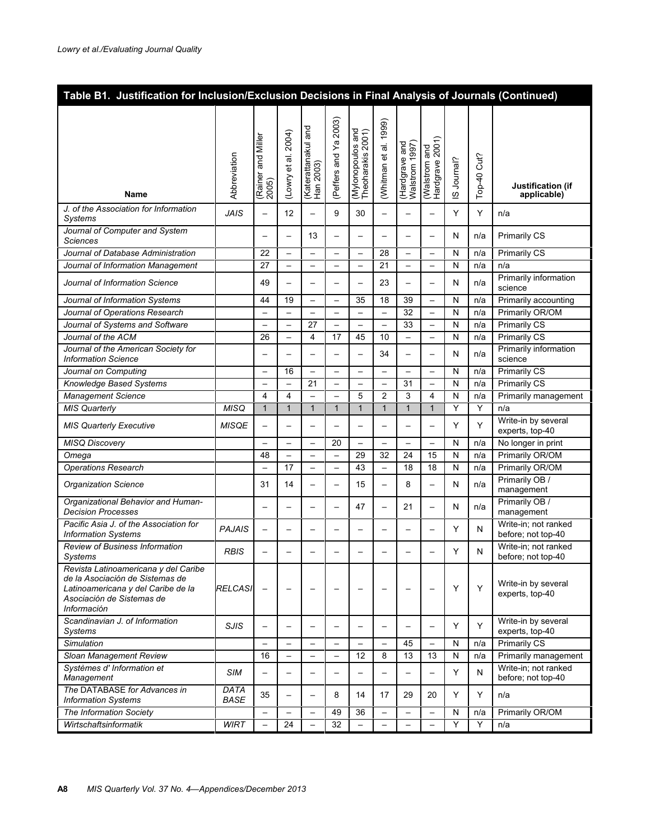| Table B1. Justification for Inclusion/Exclusion Decisions in Final Analysis of Journals (Continued)                                                       |                     |                             |                          |                                       |                          |                                        |                          |                                  |                                  |              |                  |                                            |
|-----------------------------------------------------------------------------------------------------------------------------------------------------------|---------------------|-----------------------------|--------------------------|---------------------------------------|--------------------------|----------------------------------------|--------------------------|----------------------------------|----------------------------------|--------------|------------------|--------------------------------------------|
| <b>Name</b>                                                                                                                                               | Abbreviation        | (Rainer and Miller<br>2005) | 2004)<br>(Lowry et al.   | and<br>(Katerattanakul a<br>Han 2003) | (Peffers and Ya 2003)    | (Mylonopoulos and<br>Theoharakis 2001) | (Whitman et al. 1999)    | (Hardgrave and<br>Walstrom 1997) | (Walstrom and<br>Hardgrave 2001) | S Journal?   | Cut?<br>$Top-40$ | Justification (if<br>applicable)           |
| J. of the Association for Information<br>Systems                                                                                                          | <b>JAIS</b>         |                             | 12                       |                                       | 9                        | 30                                     |                          | $\overline{\phantom{0}}$         | _                                | Y            | Y                | n/a                                        |
| Journal of Computer and System<br><b>Sciences</b>                                                                                                         |                     | $\overline{\phantom{0}}$    | $\overline{\phantom{0}}$ | 13                                    | $\overline{\phantom{0}}$ | $\overline{\phantom{0}}$               |                          | $\overline{\phantom{0}}$         | $\overline{\phantom{0}}$         | N            | n/a              | <b>Primarily CS</b>                        |
| Journal of Database Administration                                                                                                                        |                     | 22                          | $\overline{\phantom{0}}$ | $\overline{\phantom{0}}$              |                          | $\overline{\phantom{0}}$               | 28                       | $\overline{\phantom{0}}$         | $\overline{\phantom{0}}$         | N            | n/a              | <b>Primarily CS</b>                        |
| Journal of Information Management                                                                                                                         |                     | 27                          | $\qquad \qquad -$        | $\qquad \qquad -$                     | $\qquad \qquad -$        | -                                      | 21                       | $\overline{\phantom{a}}$         | -                                | N            | n/a              | n/a                                        |
| Journal of Information Science                                                                                                                            |                     | 49                          | —                        |                                       | $\overline{\phantom{0}}$ | —                                      | 23                       | $\overline{\phantom{0}}$         | $\overline{\phantom{0}}$         | N            | n/a              | Primarily information<br>science           |
| Journal of Information Systems                                                                                                                            |                     | 44                          | 19                       |                                       | $\qquad \qquad -$        | 35                                     | 18                       | 39                               | $\qquad \qquad -$                | N            | n/a              | Primarily accounting                       |
| Journal of Operations Research                                                                                                                            |                     | $\overline{\phantom{0}}$    | $\overline{\phantom{0}}$ | $\overline{\phantom{0}}$              | $\overline{\phantom{0}}$ | $\overline{\phantom{0}}$               |                          | 32                               | $\overline{\phantom{0}}$         | N            | n/a              | Primarily OR/OM                            |
| Journal of Systems and Software                                                                                                                           |                     | $\overline{\phantom{0}}$    | $\overline{\phantom{0}}$ | 27                                    | $\overline{\phantom{0}}$ | $\overline{\phantom{0}}$               | $\qquad \qquad -$        | 33                               | $\overline{\phantom{0}}$         | N            | n/a              | <b>Primarily CS</b>                        |
| Journal of the ACM                                                                                                                                        |                     | 26                          | $\overline{\phantom{0}}$ | 4                                     | 17                       | 45                                     | 10                       | $\overline{\phantom{0}}$         | $\overline{\phantom{0}}$         | $\mathsf{N}$ | n/a              | <b>Primarily CS</b>                        |
| Journal of the American Society for<br><b>Information Science</b>                                                                                         |                     | $\overline{\phantom{0}}$    | -                        |                                       | $\overline{\phantom{0}}$ | <u>.</u>                               | 34                       | $\overline{\phantom{0}}$         | $\overline{\phantom{0}}$         | N            | n/a              | Primarily information<br>science           |
| Journal on Computing                                                                                                                                      |                     | $\overline{\phantom{0}}$    | 16                       | $\overline{\phantom{0}}$              |                          | $\overline{\phantom{0}}$               | $\overline{\phantom{0}}$ |                                  | $\overline{\phantom{0}}$         | $\mathsf{N}$ | n/a              | Primarily CS                               |
| Knowledge Based Systems                                                                                                                                   |                     | $\overline{\phantom{0}}$    | $\qquad \qquad -$        | 21                                    |                          | $\overline{\phantom{0}}$               |                          | 31                               | $\qquad \qquad -$                | N            | n/a              | <b>Primarily CS</b>                        |
| <b>Management Science</b>                                                                                                                                 |                     | 4                           | $\overline{4}$           |                                       |                          | 5                                      | $\overline{2}$           | 3                                | 4                                | N            | n/a              | Primarily management                       |
| <b>MIS Quarterly</b>                                                                                                                                      | <b>MISQ</b>         | $\mathbf{1}$                | $\mathbf{1}$             | $\mathbf{1}$                          | $\mathbf{1}$             | $\mathbf{1}$                           | $\mathbf{1}$             | $\mathbf{1}$                     | $\mathbf{1}$                     | Υ            | Y                | n/a                                        |
| <b>MIS Quarterly Executive</b>                                                                                                                            | <b>MISQE</b>        |                             | $\overline{\phantom{0}}$ | $\overline{\phantom{0}}$              | $\overline{\phantom{0}}$ | —                                      |                          | $\overline{\phantom{0}}$         | $\overline{\phantom{0}}$         | Y            | Y                | Write-in by several<br>experts, top-40     |
| <b>MISQ Discovery</b>                                                                                                                                     |                     | $\overline{\phantom{0}}$    |                          |                                       | 20                       | $\overline{\phantom{0}}$               |                          | $\overline{\phantom{0}}$         | $\overline{\phantom{0}}$         | N            | n/a              | No longer in print                         |
| Omega                                                                                                                                                     |                     | 48                          | $\overline{\phantom{0}}$ |                                       | $\overline{\phantom{0}}$ | 29                                     | 32                       | 24                               | 15                               | N            | n/a              | Primarily OR/OM                            |
| <b>Operations Research</b>                                                                                                                                |                     |                             | 17                       | $\overline{\phantom{0}}$              | $\overline{\phantom{0}}$ | 43                                     | $\overline{\phantom{0}}$ | 18                               | 18                               | N            | n/a              | Primarily OR/OM                            |
| <b>Organization Science</b>                                                                                                                               |                     | 31                          | 14                       | $\overline{\phantom{0}}$              | $\overline{\phantom{0}}$ | 15                                     | $\overline{\phantom{0}}$ | 8                                | $\overline{\phantom{0}}$         | N            | n/a              | Primarily OB /<br>management               |
| Organizational Behavior and Human-<br><b>Decision Processes</b>                                                                                           |                     |                             | -                        |                                       |                          | 47                                     |                          | 21                               | $\overline{\phantom{0}}$         | N            | n/a              | Primarily OB /<br>management               |
| Pacific Asia J. of the Association for<br><b>Information Systems</b>                                                                                      | <b>PAJAIS</b>       | $\overline{\phantom{0}}$    | $\overline{\phantom{0}}$ |                                       | $\overline{\phantom{0}}$ | $\overline{\phantom{0}}$               |                          | $\overline{\phantom{0}}$         | $\overline{\phantom{0}}$         | Y            | N                | Write-in; not ranked<br>before; not top-40 |
| Review of Business Information<br>Systems                                                                                                                 | <b>RBIS</b>         | $\overline{\phantom{0}}$    |                          |                                       |                          |                                        |                          |                                  |                                  | Y            | N                | Write-in; not ranked<br>before; not top-40 |
| Revista Latinoamericana y del Caribe<br>de la Asociación de Sistemas de<br>Latinoamericana y del Caribe de la<br>Asociación de Sistemas de<br>Información | <b>RELCASI</b>      |                             |                          |                                       |                          |                                        |                          |                                  |                                  | Y            | Y                | Write-in by several<br>experts, top-40     |
| Scandinavian J. of Information<br>Systems                                                                                                                 | SJIS                |                             | $\overline{\phantom{0}}$ |                                       |                          | $\overline{\phantom{0}}$               |                          | $\overline{\phantom{0}}$         | $\overline{\phantom{0}}$         | Y            | Y                | Write-in by several<br>experts, top-40     |
| Simulation                                                                                                                                                |                     | $\overline{\phantom{0}}$    | $\equiv$                 |                                       | $\overline{\phantom{0}}$ | $\overline{\phantom{0}}$               |                          | 45                               | $\overline{\phantom{0}}$         | N            | n/a              | <b>Primarily CS</b>                        |
| Sloan Management Review                                                                                                                                   |                     | 16                          | $\overline{\phantom{0}}$ | $\qquad \qquad -$                     | $\overline{\phantom{0}}$ | 12                                     | 8                        | 13                               | 13                               | ${\sf N}$    | n/a              | Primarily management                       |
| Systèmes d' Information et<br>Management                                                                                                                  | <b>SIM</b>          | $\qquad \qquad -$           | $\overline{\phantom{0}}$ | $\qquad \qquad -$                     | $\qquad \qquad -$        | $\overline{\phantom{0}}$               | $\qquad \qquad -$        | $\overline{\phantom{0}}$         | $\qquad \qquad -$                | Y            | N                | Write-in; not ranked<br>before; not top-40 |
| The DATABASE for Advances in<br><b>Information Systems</b>                                                                                                | DATA<br><b>BASE</b> | 35                          | $\overline{\phantom{0}}$ |                                       | 8                        | 14                                     | 17                       | 29                               | 20                               | Y            | Y                | n/a                                        |
| The Information Society                                                                                                                                   |                     | $\overline{\phantom{0}}$    | $\overline{\phantom{m}}$ | $\qquad \qquad -$                     | 49                       | 36                                     | $\overline{\phantom{0}}$ | $\overline{\phantom{0}}$         | $\overline{\phantom{0}}$         | $\mathsf{N}$ | n/a              | Primarily OR/OM                            |
| Wirtschaftsinformatik                                                                                                                                     | <b>WIRT</b>         | $\overline{\phantom{0}}$    | 24                       |                                       | 32                       | $\qquad \qquad -$                      | $\overline{\phantom{0}}$ | $\overline{\phantom{0}}$         | $\overline{\phantom{0}}$         | Y            | Y                | n/a                                        |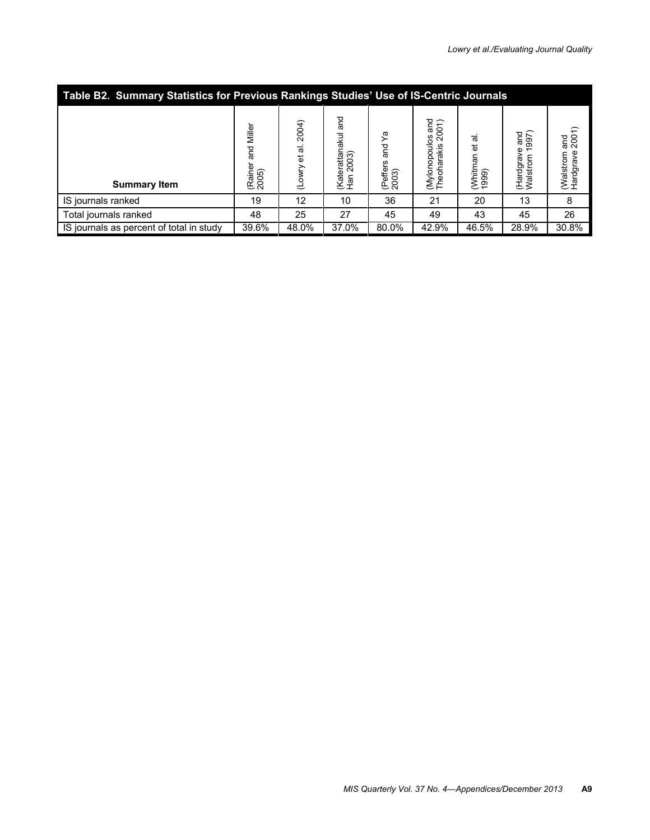| Table B2. Summary Statistics for Previous Rankings Studies' Use of IS-Centric Journals |                                            |                           |                                        |                                         |                                                                          |                            |                                                                  |                                         |  |  |
|----------------------------------------------------------------------------------------|--------------------------------------------|---------------------------|----------------------------------------|-----------------------------------------|--------------------------------------------------------------------------|----------------------------|------------------------------------------------------------------|-----------------------------------------|--|--|
| <b>Summary Item</b>                                                                    | Miller<br>nd<br>an<br>ه<br>(Raine<br>2005) | 2004)<br>ಹ<br>đ<br>(Lowry | pue<br>(Katerattanakul<br>2003)<br>Han | ᡴ<br>pue<br>S<br>S<br>(Peffers<br>2003) | and<br>$\widehat{\mathcal{L}}$<br>200<br>(Mylonopoulos<br>Theoharakis 20 | et al<br>(Whitman<br>1999) | $\frac{20}{997}$<br>$\overline{ }$<br>ያ<br>(Hardgrav<br>Walstrom | and<br>$2001$<br>(Walstrom<br>Hardgrave |  |  |
| IS journals ranked                                                                     | 19                                         | 12                        | 10                                     | 36                                      | 21                                                                       | 20                         | 13                                                               | 8                                       |  |  |
| Total journals ranked                                                                  | 48                                         | 25                        | 27                                     | 45                                      | 49                                                                       | 43                         | 45                                                               | 26                                      |  |  |
| IS journals as percent of total in study                                               | 39.6%                                      | 48.0%                     | 37.0%                                  | 80.0%                                   | 42.9%                                                                    | 46.5%                      | 28.9%                                                            | 30.8%                                   |  |  |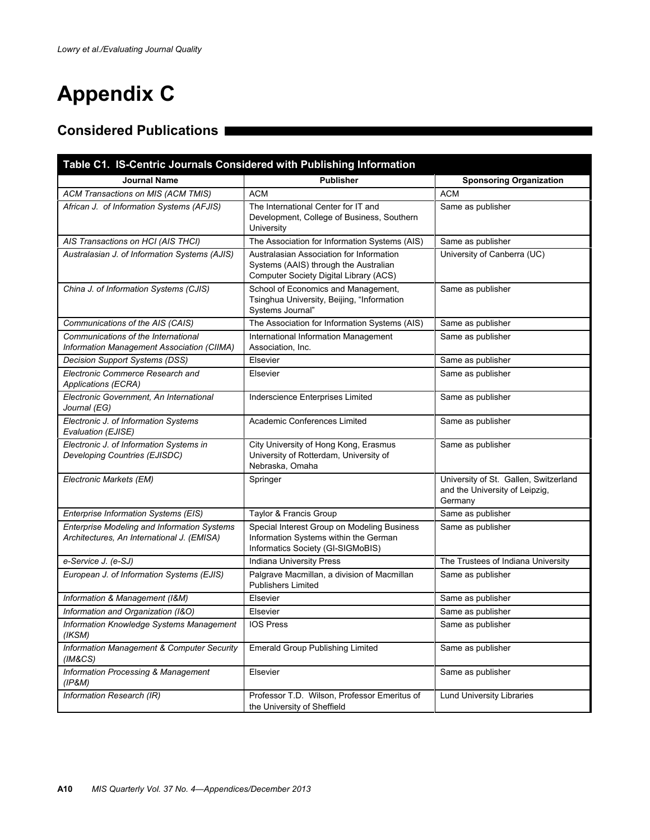# **Appendix C**

# **Considered Publications**

| Table C1. IS-Centric Journals Considered with Publishing Information                      |                                                                                                                             |                                                                                    |
|-------------------------------------------------------------------------------------------|-----------------------------------------------------------------------------------------------------------------------------|------------------------------------------------------------------------------------|
| <b>Journal Name</b>                                                                       | <b>Publisher</b>                                                                                                            | <b>Sponsoring Organization</b>                                                     |
| ACM Transactions on MIS (ACM TMIS)                                                        | <b>ACM</b>                                                                                                                  | <b>ACM</b>                                                                         |
| African J. of Information Systems (AFJIS)                                                 | The International Center for IT and<br>Development, College of Business, Southern<br>University                             | Same as publisher                                                                  |
| AIS Transactions on HCI (AIS THCI)                                                        | The Association for Information Systems (AIS)                                                                               | Same as publisher                                                                  |
| Australasian J. of Information Systems (AJIS)                                             | Australasian Association for Information<br>Systems (AAIS) through the Australian<br>Computer Society Digital Library (ACS) | University of Canberra (UC)                                                        |
| China J. of Information Systems (CJIS)                                                    | School of Economics and Management,<br>Tsinghua University, Beijing, "Information<br>Systems Journal"                       | Same as publisher                                                                  |
| Communications of the AIS (CAIS)                                                          | The Association for Information Systems (AIS)                                                                               | Same as publisher                                                                  |
| Communications of the International<br>Information Management Association (CIIMA)         | International Information Management<br>Association, Inc.                                                                   | Same as publisher                                                                  |
| Decision Support Systems (DSS)                                                            | Elsevier                                                                                                                    | Same as publisher                                                                  |
| Electronic Commerce Research and<br>Applications (ECRA)                                   | Elsevier                                                                                                                    | Same as publisher                                                                  |
| Electronic Government. An International<br>Journal (EG)                                   | Inderscience Enterprises Limited                                                                                            | Same as publisher                                                                  |
| Electronic J. of Information Systems<br>Evaluation (EJISE)                                | Academic Conferences Limited                                                                                                | Same as publisher                                                                  |
| Electronic J. of Information Systems in<br>Developing Countries (EJISDC)                  | City University of Hong Kong, Erasmus<br>University of Rotterdam, University of<br>Nebraska, Omaha                          | Same as publisher                                                                  |
| Electronic Markets (EM)                                                                   | Springer                                                                                                                    | University of St. Gallen, Switzerland<br>and the University of Leipzig,<br>Germany |
| Enterprise Information Systems (EIS)                                                      | Taylor & Francis Group                                                                                                      | Same as publisher                                                                  |
| Enterprise Modeling and Information Systems<br>Architectures, An International J. (EMISA) | Special Interest Group on Modeling Business<br>Information Systems within the German<br>Informatics Society (GI-SIGMoBIS)   | Same as publisher                                                                  |
| e-Service J. (e-SJ)                                                                       | Indiana University Press                                                                                                    | The Trustees of Indiana University                                                 |
| European J. of Information Systems (EJIS)                                                 | Palgrave Macmillan, a division of Macmillan<br><b>Publishers Limited</b>                                                    | Same as publisher                                                                  |
| Information & Management (I&M)                                                            | Elsevier                                                                                                                    | Same as publisher                                                                  |
| Information and Organization (I&O)                                                        | Elsevier                                                                                                                    | Same as publisher                                                                  |
| Information Knowledge Systems Management<br>(IKSM)                                        | <b>IOS Press</b>                                                                                                            | Same as publisher                                                                  |
| Information Management & Computer Security<br>(IM&CS)                                     | <b>Emerald Group Publishing Limited</b>                                                                                     | Same as publisher                                                                  |
| <b>Information Processing &amp; Management</b><br>(IP&M)                                  | Elsevier                                                                                                                    | Same as publisher                                                                  |
| Information Research (IR)                                                                 | Professor T.D. Wilson, Professor Emeritus of<br>the University of Sheffield                                                 | <b>Lund University Libraries</b>                                                   |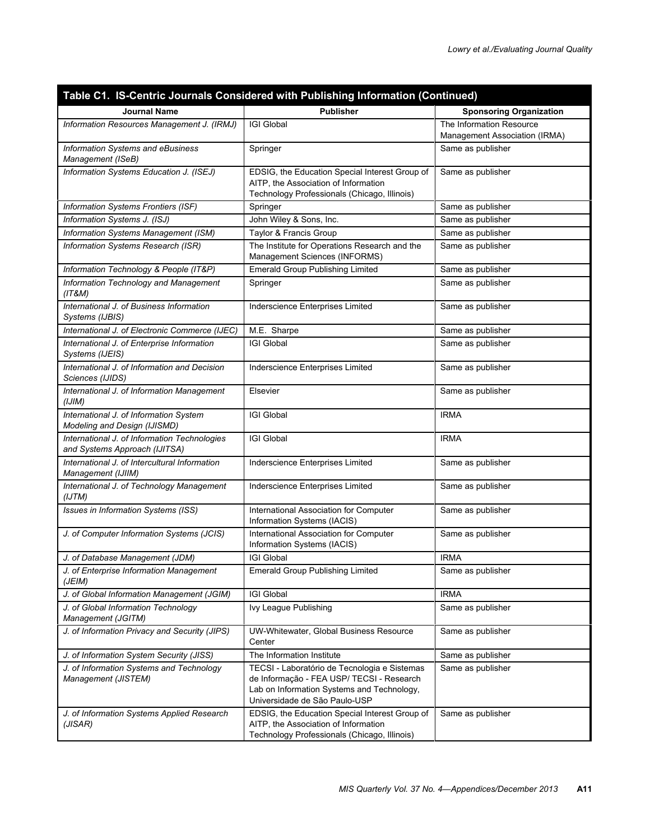|                                                                               | Table C1. IS-Centric Journals Considered with Publishing Information (Continued)                                                                                         |                                                           |
|-------------------------------------------------------------------------------|--------------------------------------------------------------------------------------------------------------------------------------------------------------------------|-----------------------------------------------------------|
| <b>Journal Name</b>                                                           | <b>Publisher</b>                                                                                                                                                         | <b>Sponsoring Organization</b>                            |
| Information Resources Management J. (IRMJ)                                    | <b>IGI Global</b>                                                                                                                                                        | The Information Resource<br>Management Association (IRMA) |
| Information Systems and eBusiness<br>Management (ISeB)                        | Springer                                                                                                                                                                 | Same as publisher                                         |
| Information Systems Education J. (ISEJ)                                       | EDSIG, the Education Special Interest Group of<br>AITP, the Association of Information<br>Technology Professionals (Chicago, Illinois)                                   | Same as publisher                                         |
| Information Systems Frontiers (ISF)                                           | Springer                                                                                                                                                                 | Same as publisher                                         |
| Information Systems J. (ISJ)                                                  | John Wiley & Sons, Inc.                                                                                                                                                  | Same as publisher                                         |
| Information Systems Management (ISM)                                          | Taylor & Francis Group                                                                                                                                                   | Same as publisher                                         |
| Information Systems Research (ISR)                                            | The Institute for Operations Research and the<br>Management Sciences (INFORMS)                                                                                           | Same as publisher                                         |
| Information Technology & People (IT&P)                                        | <b>Emerald Group Publishing Limited</b>                                                                                                                                  | Same as publisher                                         |
| Information Technology and Management<br>(IT&M)                               | Springer                                                                                                                                                                 | Same as publisher                                         |
| International J. of Business Information<br>Systems (IJBIS)                   | Inderscience Enterprises Limited                                                                                                                                         | Same as publisher                                         |
| International J. of Electronic Commerce (IJEC)                                | M.E. Sharpe                                                                                                                                                              | Same as publisher                                         |
| International J. of Enterprise Information<br>Systems (IJEIS)                 | <b>IGI Global</b>                                                                                                                                                        | Same as publisher                                         |
| International J. of Information and Decision<br>Sciences (IJIDS)              | Inderscience Enterprises Limited                                                                                                                                         | Same as publisher                                         |
| International J. of Information Management<br>(IJIM)                          | Elsevier                                                                                                                                                                 | Same as publisher                                         |
| International J. of Information System<br>Modeling and Design (IJISMD)        | <b>IGI Global</b>                                                                                                                                                        | <b>IRMA</b>                                               |
| International J. of Information Technologies<br>and Systems Approach (IJITSA) | <b>IGI Global</b>                                                                                                                                                        | <b>IRMA</b>                                               |
| International J. of Intercultural Information<br>Management (IJIIM)           | Inderscience Enterprises Limited                                                                                                                                         | Same as publisher                                         |
| International J. of Technology Management<br>(IJTM)                           | Inderscience Enterprises Limited                                                                                                                                         | Same as publisher                                         |
| Issues in Information Systems (ISS)                                           | International Association for Computer<br>Information Systems (IACIS)                                                                                                    | Same as publisher                                         |
| J. of Computer Information Systems (JCIS)                                     | International Association for Computer<br>Information Systems (IACIS)                                                                                                    | Same as publisher                                         |
| J. of Database Management (JDM)                                               | <b>IGI Global</b>                                                                                                                                                        | <b>IRMA</b>                                               |
| J. of Enterprise Information Management<br>(JEIM)                             | Emerald Group Publishing Limited                                                                                                                                         | Same as publisher                                         |
| J. of Global Information Management (JGIM)                                    | <b>IGI Global</b>                                                                                                                                                        | <b>IRMA</b>                                               |
| J. of Global Information Technology<br>Management (JGITM)                     | Ivy League Publishing                                                                                                                                                    | Same as publisher                                         |
| J. of Information Privacy and Security (JIPS)                                 | UW-Whitewater, Global Business Resource<br>Center                                                                                                                        | Same as publisher                                         |
| J. of Information System Security (JISS)                                      | The Information Institute                                                                                                                                                | Same as publisher                                         |
| J. of Information Systems and Technology<br>Management (JISTEM)               | TECSI - Laboratório de Tecnologia e Sistemas<br>de Informação - FEA USP/ TECSI - Research<br>Lab on Information Systems and Technology,<br>Universidade de São Paulo-USP | Same as publisher                                         |
| J. of Information Systems Applied Research<br>(JISAR)                         | EDSIG, the Education Special Interest Group of<br>AITP, the Association of Information<br>Technology Professionals (Chicago, Illinois)                                   | Same as publisher                                         |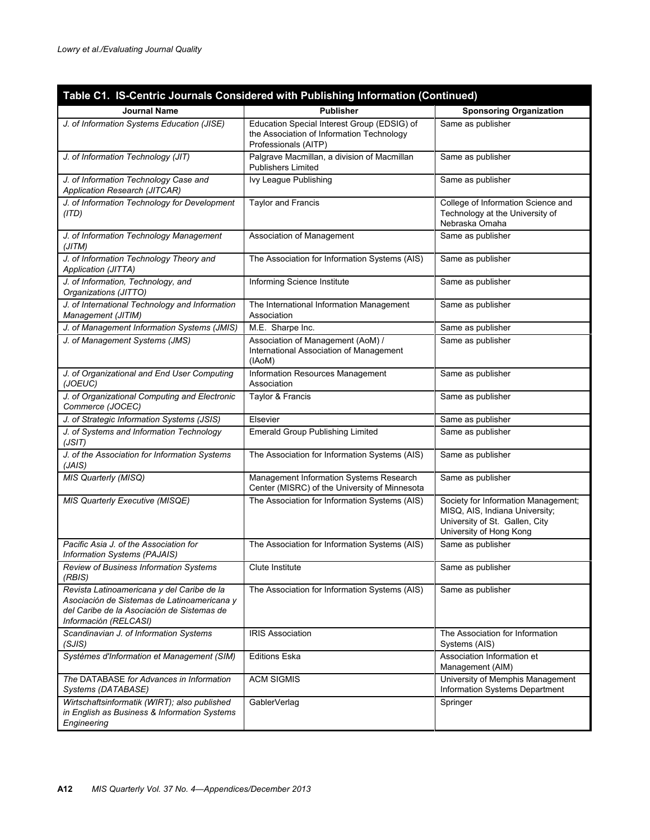|                                                                                                                                                                  | Table C1. IS-Centric Journals Considered with Publishing Information (Continued)                                 |                                                                                                                                    |
|------------------------------------------------------------------------------------------------------------------------------------------------------------------|------------------------------------------------------------------------------------------------------------------|------------------------------------------------------------------------------------------------------------------------------------|
| <b>Journal Name</b>                                                                                                                                              | <b>Publisher</b>                                                                                                 | <b>Sponsoring Organization</b>                                                                                                     |
| J. of Information Systems Education (JISE)                                                                                                                       | Education Special Interest Group (EDSIG) of<br>the Association of Information Technology<br>Professionals (AITP) | Same as publisher                                                                                                                  |
| J. of Information Technology (JIT)                                                                                                                               | Palgrave Macmillan, a division of Macmillan<br><b>Publishers Limited</b>                                         | Same as publisher                                                                                                                  |
| J. of Information Technology Case and<br>Application Research (JITCAR)                                                                                           | Ivy League Publishing                                                                                            | Same as publisher                                                                                                                  |
| J. of Information Technology for Development<br>(ITD)                                                                                                            | <b>Taylor and Francis</b>                                                                                        | College of Information Science and<br>Technology at the University of<br>Nebraska Omaha                                            |
| J. of Information Technology Management<br>(JITM)                                                                                                                | Association of Management                                                                                        | Same as publisher                                                                                                                  |
| J. of Information Technology Theory and<br>Application (JITTA)                                                                                                   | The Association for Information Systems (AIS)                                                                    | Same as publisher                                                                                                                  |
| J. of Information, Technology, and<br>Organizations (JITTO)                                                                                                      | Informing Science Institute                                                                                      | Same as publisher                                                                                                                  |
| J. of International Technology and Information<br>Management (JITIM)                                                                                             | The International Information Management<br>Association                                                          | Same as publisher                                                                                                                  |
| J. of Management Information Systems (JMIS)                                                                                                                      | M.E. Sharpe Inc.                                                                                                 | Same as publisher                                                                                                                  |
| J. of Management Systems (JMS)                                                                                                                                   | Association of Management (AoM) /<br>International Association of Management<br>(IAoM)                           | Same as publisher                                                                                                                  |
| J. of Organizational and End User Computing<br>(JOEUC)                                                                                                           | Information Resources Management<br>Association                                                                  | Same as publisher                                                                                                                  |
| J. of Organizational Computing and Electronic<br>Commerce (JOCEC)                                                                                                | Taylor & Francis                                                                                                 | Same as publisher                                                                                                                  |
| J. of Strategic Information Systems (JSIS)                                                                                                                       | Elsevier                                                                                                         | Same as publisher                                                                                                                  |
| J. of Systems and Information Technology<br>(JSIT)                                                                                                               | <b>Emerald Group Publishing Limited</b>                                                                          | Same as publisher                                                                                                                  |
| J. of the Association for Information Systems<br>(JAIS)                                                                                                          | The Association for Information Systems (AIS)                                                                    | Same as publisher                                                                                                                  |
| MIS Quarterly (MISQ)                                                                                                                                             | Management Information Systems Research<br>Center (MISRC) of the University of Minnesota                         | Same as publisher                                                                                                                  |
| MIS Quarterly Executive (MISQE)                                                                                                                                  | The Association for Information Systems (AIS)                                                                    | Society for Information Management;<br>MISQ, AIS, Indiana University;<br>University of St. Gallen, City<br>University of Hong Kong |
| Pacific Asia J. of the Association for<br>Information Systems (PAJAIS)                                                                                           | The Association for Information Systems (AIS)                                                                    | Same as publisher                                                                                                                  |
| Review of Business Information Systems<br>(RBIS)                                                                                                                 | Clute Institute                                                                                                  | Same as publisher                                                                                                                  |
| Revista Latinoamericana y del Caribe de la<br>Asociación de Sistemas de Latinoamericana y<br>del Caribe de la Asociación de Sistemas de<br>Información (RELCASI) | The Association for Information Systems (AIS)                                                                    | Same as publisher                                                                                                                  |
| Scandinavian J. of Information Systems<br>(SJIS)                                                                                                                 | <b>IRIS Association</b>                                                                                          | The Association for Information<br>Systems (AIS)                                                                                   |
| Systèmes d'Information et Management (SIM)                                                                                                                       | <b>Editions Eska</b>                                                                                             | Association Information et<br>Management (AIM)                                                                                     |
| The DATABASE for Advances in Information<br>Systems (DATABASE)                                                                                                   | <b>ACM SIGMIS</b>                                                                                                | University of Memphis Management<br>Information Systems Department                                                                 |
| Wirtschaftsinformatik (WIRT); also published<br>in English as Business & Information Systems<br>Engineering                                                      | GablerVerlag                                                                                                     | Springer                                                                                                                           |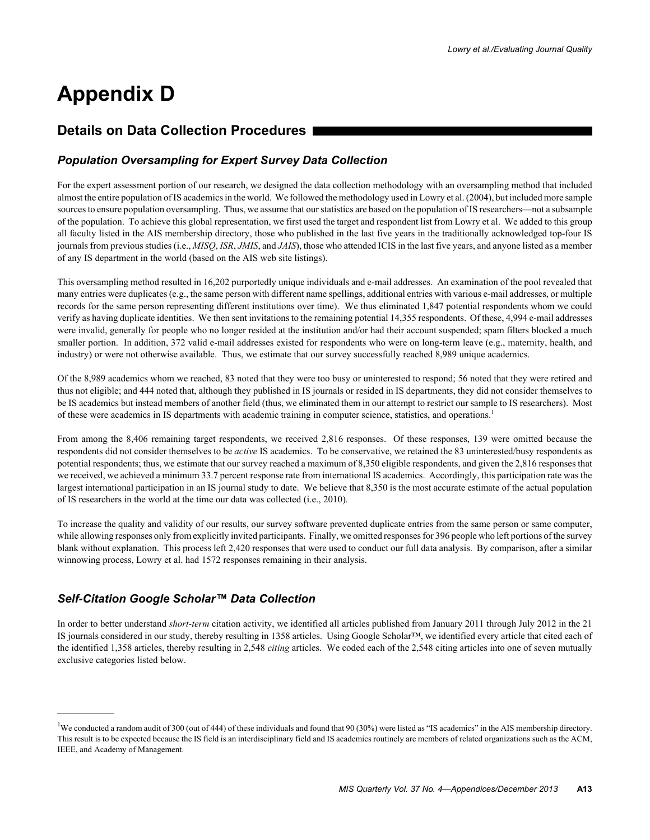# **Appendix D**

# **Details on Data Collection Procedures**

# *Population Oversampling for Expert Survey Data Collection*

For the expert assessment portion of our research, we designed the data collection methodology with an oversampling method that included almost the entire population of IS academics in the world. We followed the methodology used in Lowry et al. (2004), but included more sample sources to ensure population oversampling. Thus, we assume that our statistics are based on the population of IS researchers—not a subsample of the population. To achieve this global representation, we first used the target and respondent list from Lowry et al. We added to this group all faculty listed in the AIS membership directory, those who published in the last five years in the traditionally acknowledged top-four IS journals from previous studies (i.e., *MISQ*, *ISR*, *JMIS*, and *JAIS*), those who attended ICIS in the last five years, and anyone listed as a member of any IS department in the world (based on the AIS web site listings).

This oversampling method resulted in 16,202 purportedly unique individuals and e-mail addresses. An examination of the pool revealed that many entries were duplicates (e.g., the same person with different name spellings, additional entries with various e-mail addresses, or multiple records for the same person representing different institutions over time). We thus eliminated 1,847 potential respondents whom we could verify as having duplicate identities. We then sent invitations to the remaining potential 14,355 respondents. Of these, 4,994 e-mail addresses were invalid, generally for people who no longer resided at the institution and/or had their account suspended; spam filters blocked a much smaller portion. In addition, 372 valid e-mail addresses existed for respondents who were on long-term leave (e.g., maternity, health, and industry) or were not otherwise available. Thus, we estimate that our survey successfully reached 8,989 unique academics.

Of the 8,989 academics whom we reached, 83 noted that they were too busy or uninterested to respond; 56 noted that they were retired and thus not eligible; and 444 noted that, although they published in IS journals or resided in IS departments, they did not consider themselves to be IS academics but instead members of another field (thus, we eliminated them in our attempt to restrict our sample to IS researchers). Most of these were academics in IS departments with academic training in computer science, statistics, and operations.1

From among the 8,406 remaining target respondents, we received 2,816 responses. Of these responses, 139 were omitted because the respondents did not consider themselves to be *active* IS academics. To be conservative, we retained the 83 uninterested/busy respondents as potential respondents; thus, we estimate that our survey reached a maximum of 8,350 eligible respondents, and given the 2,816 responses that we received, we achieved a minimum 33.7 percent response rate from international IS academics. Accordingly, this participation rate was the largest international participation in an IS journal study to date. We believe that 8,350 is the most accurate estimate of the actual population of IS researchers in the world at the time our data was collected (i.e., 2010).

To increase the quality and validity of our results, our survey software prevented duplicate entries from the same person or same computer, while allowing responses only from explicitly invited participants. Finally, we omitted responses for 396 people who left portions of the survey blank without explanation. This process left 2,420 responses that were used to conduct our full data analysis. By comparison, after a similar winnowing process, Lowry et al. had 1572 responses remaining in their analysis.

# *Self-Citation Google Scholar™ Data Collection*

In order to better understand *short-term* citation activity, we identified all articles published from January 2011 through July 2012 in the 21 IS journals considered in our study, thereby resulting in 1358 articles. Using Google Scholar™, we identified every article that cited each of the identified 1,358 articles, thereby resulting in 2,548 *citing* articles. We coded each of the 2,548 citing articles into one of seven mutually exclusive categories listed below.

<sup>&</sup>lt;sup>1</sup>We conducted a random audit of 300 (out of 444) of these individuals and found that 90 (30%) were listed as "IS academics" in the AIS membership directory. This result is to be expected because the IS field is an interdisciplinary field and IS academics routinely are members of related organizations such as the ACM, IEEE, and Academy of Management.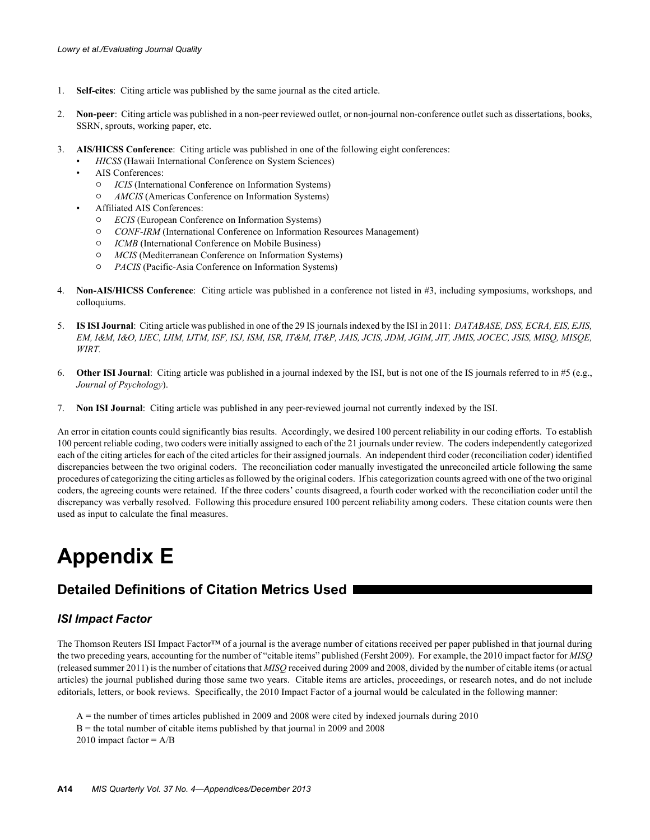- 1. **Self-cites**: Citing article was published by the same journal as the cited article.
- 2. **Non-peer**: Citing article was published in a non-peer reviewed outlet, or non-journal non-conference outlet such as dissertations, books, SSRN, sprouts, working paper, etc.
- 3. **AIS/HICSS Conference**: Citing article was published in one of the following eight conferences:
	- *HICSS* (Hawaii International Conference on System Sciences)
	- AIS Conferences:
		- $\circ$  *ICIS* (International Conference on Information Systems)
		- 0 *AMCIS* (Americas Conference on Information Systems)
	- Affiliated AIS Conferences:
		- $\circ$  *ECIS* (European Conference on Information Systems)
		- " *CONF-IRM* (International Conference on Information Resources Management)
		- $\circ$  *ICMB* (International Conference on Mobile Business)
		- $\circ$  *MCIS* (Mediterranean Conference on Information Systems)
		- " *PACIS* (Pacific-Asia Conference on Information Systems)
- 4. **Non-AIS/HICSS Conference**: Citing article was published in a conference not listed in #3, including symposiums, workshops, and colloquiums.
- 5. **IS ISI Journal**: Citing article was published in one of the 29 IS journals indexed by the ISI in 2011: *DATABASE, DSS, ECRA, EIS, EJIS, EM, I&M, I&O, IJEC, IJIM, IJTM, ISF, ISJ, ISM, ISR, IT&M, IT&P, JAIS, JCIS, JDM, JGIM, JIT, JMIS, JOCEC, JSIS, MISQ, MISQE, WIRT.*
- 6. **Other ISI Journal**: Citing article was published in a journal indexed by the ISI, but is not one of the IS journals referred to in #5 (e.g., *Journal of Psychology*).
- 7. **Non ISI Journal**: Citing article was published in any peer-reviewed journal not currently indexed by the ISI.

An error in citation counts could significantly bias results. Accordingly, we desired 100 percent reliability in our coding efforts. To establish 100 percent reliable coding, two coders were initially assigned to each of the 21 journals under review. The coders independently categorized each of the citing articles for each of the cited articles for their assigned journals. An independent third coder (reconciliation coder) identified discrepancies between the two original coders. The reconciliation coder manually investigated the unreconciled article following the same procedures of categorizing the citing articles as followed by the original coders. If his categorization counts agreed with one of the two original coders, the agreeing counts were retained. If the three coders' counts disagreed, a fourth coder worked with the reconciliation coder until the discrepancy was verbally resolved. Following this procedure ensured 100 percent reliability among coders. These citation counts were then used as input to calculate the final measures.

# **Appendix E**

# **Detailed Definitions of Citation Metrics Used**

## *ISI Impact Factor*

The Thomson Reuters ISI Impact Factor™ of a journal is the average number of citations received per paper published in that journal during the two preceding years, accounting for the number of "citable items" published (Fersht 2009). For example, the 2010 impact factor for *MISQ* (released summer 2011) is the number of citations that *MISQ* received during 2009 and 2008, divided by the number of citable items (or actual articles) the journal published during those same two years. Citable items are articles, proceedings, or research notes, and do not include editorials, letters, or book reviews. Specifically, the 2010 Impact Factor of a journal would be calculated in the following manner:

A = the number of times articles published in 2009 and 2008 were cited by indexed journals during 2010  $B =$  the total number of citable items published by that journal in 2009 and 2008 2010 impact factor  $= A/B$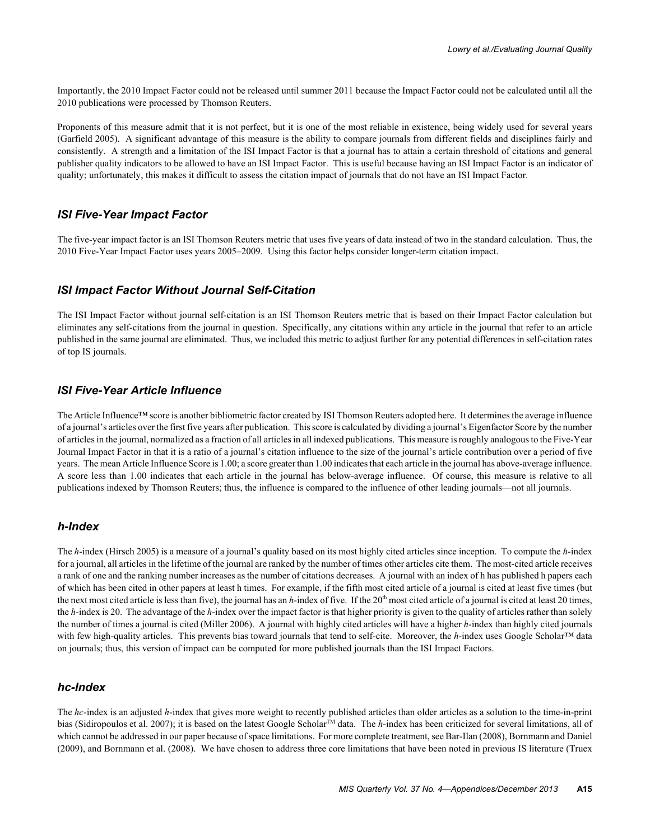Importantly, the 2010 Impact Factor could not be released until summer 2011 because the Impact Factor could not be calculated until all the 2010 publications were processed by Thomson Reuters.

Proponents of this measure admit that it is not perfect, but it is one of the most reliable in existence, being widely used for several years (Garfield 2005). A significant advantage of this measure is the ability to compare journals from different fields and disciplines fairly and consistently. A strength and a limitation of the ISI Impact Factor is that a journal has to attain a certain threshold of citations and general publisher quality indicators to be allowed to have an ISI Impact Factor. This is useful because having an ISI Impact Factor is an indicator of quality; unfortunately, this makes it difficult to assess the citation impact of journals that do not have an ISI Impact Factor.

## *ISI Five-Year Impact Factor*

The five-year impact factor is an ISI Thomson Reuters metric that uses five years of data instead of two in the standard calculation. Thus, the 2010 Five-Year Impact Factor uses years 2005–2009. Using this factor helps consider longer-term citation impact.

## *ISI Impact Factor Without Journal Self-Citation*

The ISI Impact Factor without journal self-citation is an ISI Thomson Reuters metric that is based on their Impact Factor calculation but eliminates any self-citations from the journal in question. Specifically, any citations within any article in the journal that refer to an article published in the same journal are eliminated. Thus, we included this metric to adjust further for any potential differences in self-citation rates of top IS journals.

# *ISI Five-Year Article Influence*

The Article Influence™ score is another bibliometric factor created by ISI Thomson Reuters adopted here. It determines the average influence of a journal's articles over the first five years after publication. This score is calculated by dividing a journal's Eigenfactor Score by the number of articles in the journal, normalized as a fraction of all articles in all indexed publications. This measure is roughly analogous to the Five-Year Journal Impact Factor in that it is a ratio of a journal's citation influence to the size of the journal's article contribution over a period of five years. The mean Article Influence Score is 1.00; a score greater than 1.00 indicates that each article in the journal has above-average influence. A score less than 1.00 indicates that each article in the journal has below-average influence. Of course, this measure is relative to all publications indexed by Thomson Reuters; thus, the influence is compared to the influence of other leading journals—not all journals.

#### *h-Index*

The *h*-index (Hirsch 2005) is a measure of a journal's quality based on its most highly cited articles since inception. To compute the *h*-index for a journal, all articles in the lifetime of the journal are ranked by the number of times other articles cite them. The most-cited article receives a rank of one and the ranking number increases as the number of citations decreases. A journal with an index of h has published h papers each of which has been cited in other papers at least h times. For example, if the fifth most cited article of a journal is cited at least five times (but the next most cited article is less than five), the journal has an *h*-index of five. If the  $20<sup>th</sup>$  most cited article of a journal is cited at least 20 times, the *h*-index is 20. The advantage of the *h*-index over the impact factor is that higher priority is given to the quality of articles rather than solely the number of times a journal is cited (Miller 2006). A journal with highly cited articles will have a higher *h*-index than highly cited journals with few high-quality articles. This prevents bias toward journals that tend to self-cite. Moreover, the *h*-index uses Google Scholar™ data on journals; thus, this version of impact can be computed for more published journals than the ISI Impact Factors.

#### *hc-Index*

The *hc*-index is an adjusted *h*-index that gives more weight to recently published articles than older articles as a solution to the time-in-print bias (Sidiropoulos et al. 2007); it is based on the latest Google Scholar<sup>™</sup> data. The *h*-index has been criticized for several limitations, all of which cannot be addressed in our paper because of space limitations. For more complete treatment, see Bar-Ilan (2008), Bornmann and Daniel (2009), and Bornmann et al. (2008). We have chosen to address three core limitations that have been noted in previous IS literature (Truex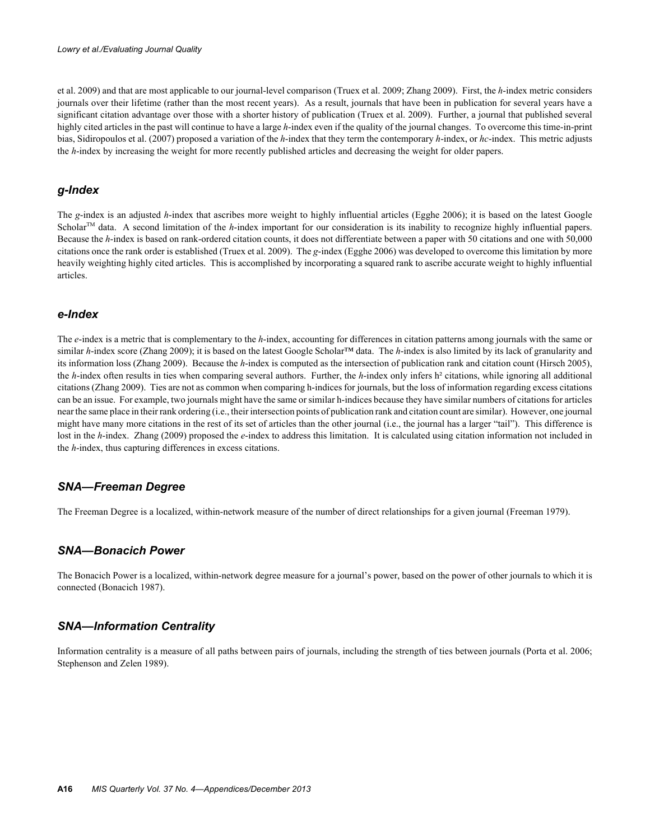et al. 2009) and that are most applicable to our journal-level comparison (Truex et al. 2009; Zhang 2009). First, the *h*-index metric considers journals over their lifetime (rather than the most recent years). As a result, journals that have been in publication for several years have a significant citation advantage over those with a shorter history of publication (Truex et al. 2009). Further, a journal that published several highly cited articles in the past will continue to have a large *h*-index even if the quality of the journal changes. To overcome this time-in-print bias, Sidiropoulos et al. (2007) proposed a variation of the *h*-index that they term the contemporary *h*-index, or *hc*-index. This metric adjusts the *h*-index by increasing the weight for more recently published articles and decreasing the weight for older papers.

## *g-Index*

The *g*-index is an adjusted *h*-index that ascribes more weight to highly influential articles (Egghe 2006); it is based on the latest Google Scholar<sup>TM</sup> data. A second limitation of the  $h$ -index important for our consideration is its inability to recognize highly influential papers. Because the *h*-index is based on rank-ordered citation counts, it does not differentiate between a paper with 50 citations and one with 50,000 citations once the rank order is established (Truex et al. 2009). The *g*-index (Egghe 2006) was developed to overcome this limitation by more heavily weighting highly cited articles. This is accomplished by incorporating a squared rank to ascribe accurate weight to highly influential articles.

## *e-Index*

The *e*-index is a metric that is complementary to the *h*-index, accounting for differences in citation patterns among journals with the same or similar *h*-index score (Zhang 2009); it is based on the latest Google Scholar™ data. The *h*-index is also limited by its lack of granularity and its information loss (Zhang 2009). Because the *h*-index is computed as the intersection of publication rank and citation count (Hirsch 2005), the *h*-index often results in ties when comparing several authors. Further, the *h*-index only infers h² citations, while ignoring all additional citations (Zhang 2009). Ties are not as common when comparing h-indices for journals, but the loss of information regarding excess citations can be an issue. For example, two journals might have the same or similar h-indices because they have similar numbers of citations for articles near the same place in their rank ordering (i.e., their intersection points of publication rank and citation count are similar). However, one journal might have many more citations in the rest of its set of articles than the other journal (i.e., the journal has a larger "tail"). This difference is lost in the *h*-index. Zhang (2009) proposed the *e*-index to address this limitation. It is calculated using citation information not included in the *h*-index, thus capturing differences in excess citations.

## *SNA—Freeman Degree*

The Freeman Degree is a localized, within-network measure of the number of direct relationships for a given journal (Freeman 1979).

## *SNA—Bonacich Power*

The Bonacich Power is a localized, within-network degree measure for a journal's power, based on the power of other journals to which it is connected (Bonacich 1987).

## *SNA—Information Centrality*

Information centrality is a measure of all paths between pairs of journals, including the strength of ties between journals (Porta et al. 2006; Stephenson and Zelen 1989).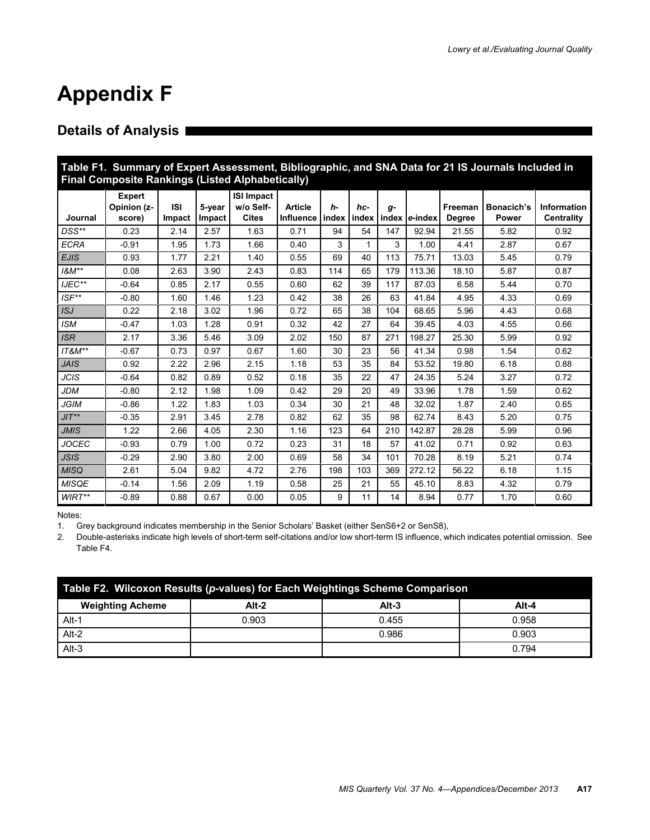# **Appendix F**

# **Details of Analysis**

| Table F1. Summary of Expert Assessment, Bibliographic, and SNA Data for 21 IS Journals Included in<br><b>Final Composite Rankings (Listed Alphabetically)</b> |                                        |                      |                  |                                                |                                     |      |     |      |                     |                          |                     |                                         |
|---------------------------------------------------------------------------------------------------------------------------------------------------------------|----------------------------------------|----------------------|------------------|------------------------------------------------|-------------------------------------|------|-----|------|---------------------|--------------------------|---------------------|-----------------------------------------|
| Journal                                                                                                                                                       | <b>Expert</b><br>Opinion (z-<br>score) | <b>ISI</b><br>Impact | 5-vear<br>Impact | <b>ISI Impact</b><br>w/o Self-<br><b>Cites</b> | <b>Article</b><br>Influence   index | $h-$ | hc- | $q-$ | index index e-index | Freeman<br><b>Degree</b> | Bonacich's<br>Power | <b>Information</b><br><b>Centrality</b> |
| $DSS**$                                                                                                                                                       | 0.23                                   | 2.14                 | 2.57             | 1.63                                           | 0.71                                | 94   | 54  | 147  | 92.94               | 21.55                    | 5.82                | 0.92                                    |
| <b>ECRA</b>                                                                                                                                                   | $-0.91$                                | 1.95                 | 1.73             | 1.66                                           | 0.40                                | 3    | 1   | 3    | 1.00                | 4.41                     | 2.87                | 0.67                                    |
| <b>EJIS</b>                                                                                                                                                   | 0.93                                   | 1.77                 | 2.21             | 1.40                                           | 0.55                                | 69   | 40  | 113  | 75.71               | 13.03                    | 5.45                | 0.79                                    |
| $18M**$                                                                                                                                                       | 0.08                                   | 2.63                 | 3.90             | 2.43                                           | 0.83                                | 114  | 65  | 179  | 113.36              | 18.10                    | 5.87                | 0.87                                    |
| $IJEC***$                                                                                                                                                     | $-0.64$                                | 0.85                 | 2.17             | 0.55                                           | 0.60                                | 62   | 39  | 117  | 87.03               | 6.58                     | 5.44                | 0.70                                    |
| ISF**                                                                                                                                                         | $-0.80$                                | 1.60                 | 1.46             | 1.23                                           | 0.42                                | 38   | 26  | 63   | 41.84               | 4.95                     | 4.33                | 0.69                                    |
| ISJ                                                                                                                                                           | 0.22                                   | 2.18                 | 3.02             | 1.96                                           | 0.72                                | 65   | 38  | 104  | 68.65               | 5.96                     | 4.43                | 0.68                                    |
| <b>ISM</b>                                                                                                                                                    | $-0.47$                                | 1.03                 | 1.28             | 0.91                                           | 0.32                                | 42   | 27  | 64   | 39.45               | 4.03                     | 4.55                | 0.66                                    |
| <b>ISR</b>                                                                                                                                                    | 2.17                                   | 3.36                 | 5.46             | 3.09                                           | 2.02                                | 150  | 87  | 271  | 198.27              | 25.30                    | 5.99                | 0.92                                    |
| IT&M**                                                                                                                                                        | $-0.67$                                | 0.73                 | 0.97             | 0.67                                           | 1.60                                | 30   | 23  | 56   | 41.34               | 0.98                     | 1.54                | 0.62                                    |
| <b>JAIS</b>                                                                                                                                                   | 0.92                                   | 2.22                 | 2.96             | 2.15                                           | 1.18                                | 53   | 35  | 84   | 53.52               | 19.80                    | 6.18                | 0.88                                    |
| JCIS                                                                                                                                                          | $-0.64$                                | 0.82                 | 0.89             | 0.52                                           | 0.18                                | 35   | 22  | 47   | 24.35               | 5.24                     | 3.27                | 0.72                                    |
| <b>JDM</b>                                                                                                                                                    | $-0.80$                                | 2.12                 | 1.98             | 1.09                                           | 0.42                                | 29   | 20  | 49   | 33.96               | 1.78                     | 1.59                | 0.62                                    |
| <b>JGIM</b>                                                                                                                                                   | $-0.86$                                | 1.22                 | 1.83             | 1.03                                           | 0.34                                | 30   | 21  | 48   | 32.02               | 1.87                     | 2.40                | 0.65                                    |
| $JIT**$                                                                                                                                                       | $-0.35$                                | 2.91                 | 3.45             | 2.78                                           | 0.82                                | 62   | 35  | 98   | 62.74               | 8.43                     | 5.20                | 0.75                                    |
| <b>JMIS</b>                                                                                                                                                   | 1.22                                   | 2.66                 | 4.05             | 2.30                                           | 1.16                                | 123  | 64  | 210  | 142.87              | 28.28                    | 5.99                | 0.96                                    |
| JOCEC                                                                                                                                                         | $-0.93$                                | 0.79                 | 1.00             | 0.72                                           | 0.23                                | 31   | 18  | 57   | 41.02               | 0.71                     | 0.92                | 0.63                                    |
| <b>JSIS</b>                                                                                                                                                   | $-0.29$                                | 2.90                 | 3.80             | 2.00                                           | 0.69                                | 58   | 34  | 101  | 70.28               | 8.19                     | 5.21                | 0.74                                    |
| <b>MISQ</b>                                                                                                                                                   | 2.61                                   | 5.04                 | 9.82             | 4.72                                           | 2.76                                | 198  | 103 | 369  | 272.12              | 56.22                    | 6.18                | 1.15                                    |
| <b>MISQE</b>                                                                                                                                                  | $-0.14$                                | 1.56                 | 2.09             | 1.19                                           | 0.58                                | 25   | 21  | 55   | 45.10               | 8.83                     | 4.32                | 0.79                                    |
| $WIRT**$                                                                                                                                                      | $-0.89$                                | 0.88                 | 0.67             | 0.00                                           | 0.05                                | 9    | 11  | 14   | 8.94                | 0.77                     | 1.70                | 0.60                                    |

Notes:

1. Grey background indicates membership in the Senior Scholars' Basket (either SenS6+2 or SenS8),

2. Double-asterisks indicate high levels of short-term self-citations and/or low short-term IS influence, which indicates potential omission. See Table F4.

| Table F2. Wilcoxon Results (p-values) for Each Weightings Scheme Comparison |         |         |       |  |  |  |  |  |  |
|-----------------------------------------------------------------------------|---------|---------|-------|--|--|--|--|--|--|
| <b>Weighting Acheme</b>                                                     | $Alt-2$ | $Alt-3$ | Alt-4 |  |  |  |  |  |  |
| Alt-1                                                                       | 0.903   | 0.455   | 0.958 |  |  |  |  |  |  |
| Alt-2                                                                       |         | 0.986   | 0.903 |  |  |  |  |  |  |
| $Alt-3$                                                                     |         |         | 0.794 |  |  |  |  |  |  |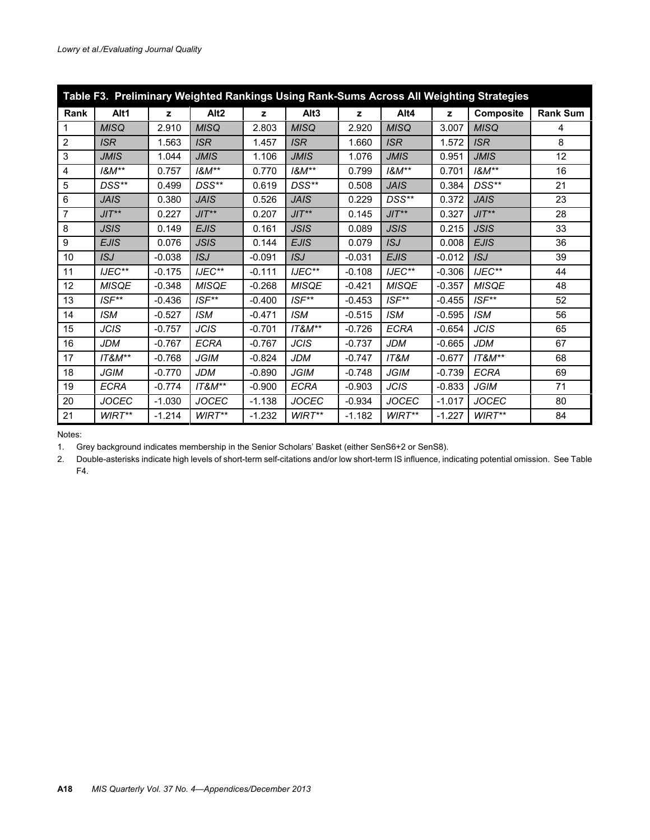|                         | Table F3. Preliminary Weighted Rankings Using Rank-Sums Across All Weighting Strategies |          |                  |          |                        |          |                        |          |                        |                 |  |  |
|-------------------------|-----------------------------------------------------------------------------------------|----------|------------------|----------|------------------------|----------|------------------------|----------|------------------------|-----------------|--|--|
| Rank                    | Alt1                                                                                    | z        | Alt <sub>2</sub> | z        | Alt <sub>3</sub>       | z        | Alt4                   | z        | <b>Composite</b>       | <b>Rank Sum</b> |  |  |
| $\mathbf{1}$            | <b>MISQ</b>                                                                             | 2.910    | <b>MISQ</b>      | 2.803    | <b>MISQ</b>            | 2.920    | <b>MISQ</b>            | 3.007    | <b>MISQ</b>            | 4               |  |  |
| $\sqrt{2}$              | <b>ISR</b>                                                                              | 1.563    | <b>ISR</b>       | 1.457    | <b>ISR</b>             | 1.660    | <b>ISR</b>             | 1.572    | <b>ISR</b>             | 8               |  |  |
| $\mathsf 3$             | <b>JMIS</b>                                                                             | 1.044    | <b>JMIS</b>      | 1.106    | <b>JMIS</b>            | 1.076    | <b>JMIS</b>            | 0.951    | <b>JMIS</b>            | 12              |  |  |
| $\overline{\mathbf{4}}$ | $18M**$                                                                                 | 0.757    | $18M**$          | 0.770    | $18M**$                | 0.799    | $18M^{**}$             | 0.701    | $18M^{**}$             | 16              |  |  |
| 5                       | DSS**                                                                                   | 0.499    | DSS**            | 0.619    | DSS**                  | 0.508    | <b>JAIS</b>            | 0.384    | DSS**                  | 21              |  |  |
| $\,6$                   | <b>JAIS</b>                                                                             | 0.380    | <b>JAIS</b>      | 0.526    | <b>JAIS</b>            | 0.229    | DSS**                  | 0.372    | <b>JAIS</b>            | 23              |  |  |
| $\overline{7}$          | $JIT**$                                                                                 | 0.227    | $JIT**$          | 0.207    | $JIT**$                | 0.145    | $JIT**$                | 0.327    | $JIT**$                | 28              |  |  |
| 8                       | <b>JSIS</b>                                                                             | 0.149    | <b>EJIS</b>      | 0.161    | <b>JSIS</b>            | 0.089    | <b>JSIS</b>            | 0.215    | <b>JSIS</b>            | 33              |  |  |
| $\boldsymbol{9}$        | <b>EJIS</b>                                                                             | 0.076    | <b>JSIS</b>      | 0.144    | <b>EJIS</b>            | 0.079    | <b>ISJ</b>             | 0.008    | <b>EJIS</b>            | 36              |  |  |
| 10                      | <b>ISJ</b>                                                                              | $-0.038$ | <b>ISJ</b>       | $-0.091$ | ISJ                    | $-0.031$ | <b>EJIS</b>            | $-0.012$ | ISJ                    | 39              |  |  |
| 11                      | IJEC**                                                                                  | $-0.175$ | IJEC**           | $-0.111$ | IJEC**                 | $-0.108$ | IJEC**                 | $-0.306$ | $IJEC***$              | 44              |  |  |
| 12                      | <b>MISQE</b>                                                                            | $-0.348$ | <b>MISQE</b>     | $-0.268$ | <b>MISQE</b>           | $-0.421$ | <b>MISQE</b>           | $-0.357$ | <b>MISQE</b>           | 48              |  |  |
| 13                      | $ISF^{**}$                                                                              | $-0.436$ | $ISF^{**}$       | $-0.400$ | ISF**                  | $-0.453$ | $ISF^{**}$             | $-0.455$ | $ISF^{**}$             | 52              |  |  |
| 14                      | <b>ISM</b>                                                                              | $-0.527$ | <b>ISM</b>       | $-0.471$ | <b>ISM</b>             | $-0.515$ | <b>ISM</b>             | $-0.595$ | <b>ISM</b>             | 56              |  |  |
| 15                      | <b>JCIS</b>                                                                             | $-0.757$ | <b>JCIS</b>      | $-0.701$ | <b>IT&amp;M**</b>      | $-0.726$ | <b>ECRA</b>            | $-0.654$ | <b>JCIS</b>            | 65              |  |  |
| 16                      | <b>JDM</b>                                                                              | $-0.767$ | <b>ECRA</b>      | $-0.767$ | <b>JCIS</b>            | $-0.737$ | <b>JDM</b>             | $-0.665$ | <b>JDM</b>             | 67              |  |  |
| 17                      | $IT8M**$                                                                                | $-0.768$ | <b>JGIM</b>      | $-0.824$ | <b>JDM</b>             | $-0.747$ | IT&M                   | $-0.677$ | $IT8M**$               | 68              |  |  |
| 18                      | <b>JGIM</b>                                                                             | $-0.770$ | <b>JDM</b>       | $-0.890$ | <b>JGIM</b>            | $-0.748$ | <b>JGIM</b>            | $-0.739$ | <b>ECRA</b>            | 69              |  |  |
| 19                      | <b>ECRA</b>                                                                             | $-0.774$ | $IT8M**$         | $-0.900$ | <b>ECRA</b>            | $-0.903$ | <b>JCIS</b>            | $-0.833$ | <b>JGIM</b>            | 71              |  |  |
| 20                      | <b>JOCEC</b>                                                                            | $-1.030$ | <b>JOCEC</b>     | $-1.138$ | <b>JOCEC</b>           | $-0.934$ | <b>JOCEC</b>           | $-1.017$ | <b>JOCEC</b>           | 80              |  |  |
| 21                      | $WIRT**$                                                                                | $-1.214$ | $WIRT**$         | $-1.232$ | $W\!R\mathcal{T}^{**}$ | $-1.182$ | $W\!R\mathcal{T}^{**}$ | $-1.227$ | $W\!R\mathcal{T}^{**}$ | 84              |  |  |

Notes:

1. Grey background indicates membership in the Senior Scholars' Basket (either SenS6+2 or SenS8).

2. Double-asterisks indicate high levels of short-term self-citations and/or low short-term IS influence, indicating potential omission. See Table F4.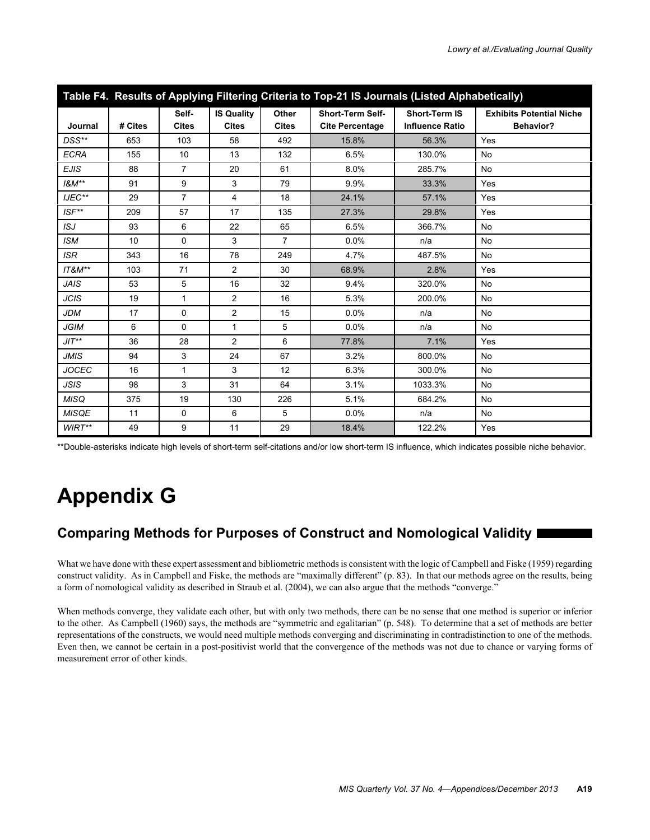| Table F4. Results of Applying Filtering Criteria to Top-21 IS Journals (Listed Alphabetically) |         |                       |                                   |                       |                                                   |                                                |                                                     |
|------------------------------------------------------------------------------------------------|---------|-----------------------|-----------------------------------|-----------------------|---------------------------------------------------|------------------------------------------------|-----------------------------------------------------|
| Journal                                                                                        | # Cites | Self-<br><b>Cites</b> | <b>IS Quality</b><br><b>Cites</b> | Other<br><b>Cites</b> | <b>Short-Term Self-</b><br><b>Cite Percentage</b> | <b>Short-Term IS</b><br><b>Influence Ratio</b> | <b>Exhibits Potential Niche</b><br><b>Behavior?</b> |
| DSS**                                                                                          | 653     | 103                   | 58                                | 492                   | 15.8%                                             | 56.3%                                          | Yes                                                 |
| <b>ECRA</b>                                                                                    | 155     | 10                    | 13                                | 132                   | 6.5%                                              | 130.0%                                         | <b>No</b>                                           |
| <b>EJIS</b>                                                                                    | 88      | $\overline{7}$        | 20                                | 61                    | 8.0%                                              | 285.7%                                         | <b>No</b>                                           |
| $18M**$                                                                                        | 91      | 9                     | 3                                 | 79                    | 9.9%                                              | 33.3%                                          | Yes                                                 |
| IJEC**                                                                                         | 29      | $\overline{7}$        | $\overline{4}$                    | 18                    | 24.1%                                             | 57.1%                                          | Yes                                                 |
| $ISF^{**}$                                                                                     | 209     | 57                    | 17                                | 135                   | 27.3%                                             | 29.8%                                          | Yes                                                 |
| ISJ                                                                                            | 93      | 6                     | 22                                | 65                    | 6.5%                                              | 366.7%                                         | No                                                  |
| <b>ISM</b>                                                                                     | 10      | $\Omega$              | 3                                 | $\overline{7}$        | 0.0%                                              | n/a                                            | <b>No</b>                                           |
| <b>ISR</b>                                                                                     | 343     | 16                    | 78                                | 249                   | 4.7%                                              | 487.5%                                         | <b>No</b>                                           |
| $IT8M**$                                                                                       | 103     | 71                    | $\overline{2}$                    | 30                    | 68.9%                                             | 2.8%                                           | Yes                                                 |
| <b>JAIS</b>                                                                                    | 53      | 5                     | 16                                | 32                    | 9.4%                                              | 320.0%                                         | <b>No</b>                                           |
| <b>JCIS</b>                                                                                    | 19      | $\mathbf{1}$          | 2                                 | 16                    | 5.3%                                              | 200.0%                                         | <b>No</b>                                           |
| JDM                                                                                            | 17      | $\Omega$              | 2                                 | 15                    | 0.0%                                              | n/a                                            | <b>No</b>                                           |
| <b>JGIM</b>                                                                                    | 6       | $\mathbf 0$           | $\mathbf{1}$                      | 5                     | 0.0%                                              | n/a                                            | <b>No</b>                                           |
| $JIT**$                                                                                        | 36      | 28                    | 2                                 | 6                     | 77.8%                                             | 7.1%                                           | Yes                                                 |
| <b>JMIS</b>                                                                                    | 94      | 3                     | 24                                | 67                    | 3.2%                                              | 800.0%                                         | No                                                  |
| <b>JOCEC</b>                                                                                   | 16      | 1                     | 3                                 | 12                    | 6.3%                                              | 300.0%                                         | No                                                  |
| <b>JSIS</b>                                                                                    | 98      | 3                     | 31                                | 64                    | 3.1%                                              | 1033.3%                                        | No                                                  |
| <b>MISQ</b>                                                                                    | 375     | 19                    | 130                               | 226                   | 5.1%                                              | 684.2%                                         | No                                                  |
| <b>MISQE</b>                                                                                   | 11      | $\mathbf 0$           | 6                                 | 5                     | 0.0%                                              | n/a                                            | No                                                  |
| $WIRT**$                                                                                       | 49      | 9                     | 11                                | 29                    | 18.4%                                             | 122.2%                                         | Yes                                                 |

\*\*Double-asterisks indicate high levels of short-term self-citations and/or low short-term IS influence, which indicates possible niche behavior.

# **Appendix G**

# **Comparing Methods for Purposes of Construct and Nomological Validity**

What we have done with these expert assessment and bibliometric methods is consistent with the logic of Campbell and Fiske (1959) regarding construct validity. As in Campbell and Fiske, the methods are "maximally different" (p. 83). In that our methods agree on the results, being a form of nomological validity as described in Straub et al. (2004), we can also argue that the methods "converge."

When methods converge, they validate each other, but with only two methods, there can be no sense that one method is superior or inferior to the other. As Campbell (1960) says, the methods are "symmetric and egalitarian" (p. 548). To determine that a set of methods are better representations of the constructs, we would need multiple methods converging and discriminating in contradistinction to one of the methods. Even then, we cannot be certain in a post-positivist world that the convergence of the methods was not due to chance or varying forms of measurement error of other kinds.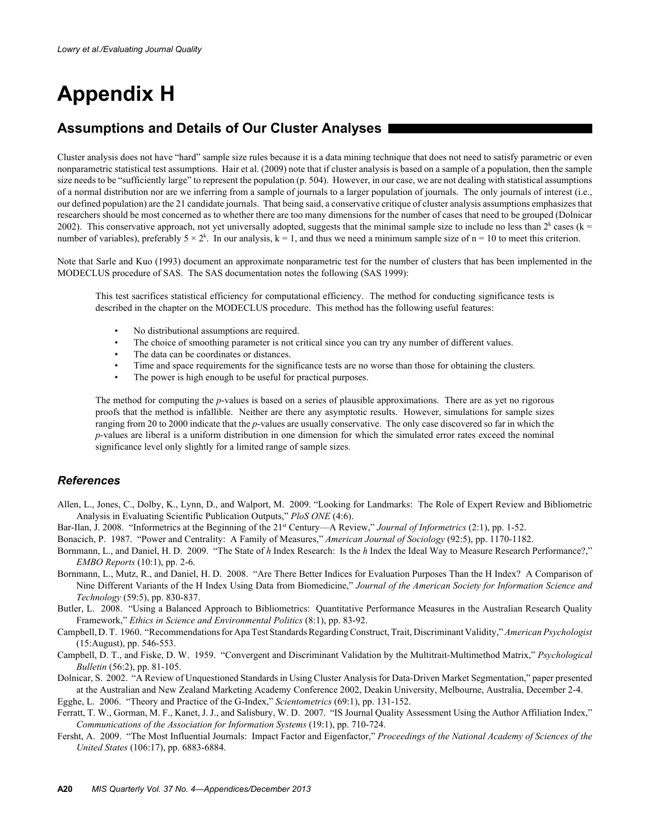# **Appendix H**

# **Assumptions and Details of Our Cluster Analyses**

Cluster analysis does not have "hard" sample size rules because it is a data mining technique that does not need to satisfy parametric or even nonparametric statistical test assumptions. Hair et al. (2009) note that if cluster analysis is based on a sample of a population, then the sample size needs to be "sufficiently large" to represent the population (p. 504). However, in our case, we are not dealing with statistical assumptions of a normal distribution nor are we inferring from a sample of journals to a larger population of journals. The only journals of interest (i.e., our defined population) are the 21 candidate journals. That being said, a conservative critique of cluster analysis assumptions emphasizes that researchers should be most concerned as to whether there are too many dimensions for the number of cases that need to be grouped (Dolnicar 2002). This conservative approach, not yet universally adopted, suggests that the minimal sample size to include no less than  $2<sup>k</sup>$  cases (k = number of variables), preferably  $5 \times 2^k$ . In our analysis,  $k = 1$ , and thus we need a minimum sample size of  $n = 10$  to meet this criterion.

Note that Sarle and Kuo (1993) document an approximate nonparametric test for the number of clusters that has been implemented in the MODECLUS procedure of SAS. The SAS documentation notes the following (SAS 1999):

This test sacrifices statistical efficiency for computational efficiency. The method for conducting significance tests is described in the chapter on the MODECLUS procedure. This method has the following useful features:

- No distributional assumptions are required.
- The choice of smoothing parameter is not critical since you can try any number of different values.
- The data can be coordinates or distances.
- Time and space requirements for the significance tests are no worse than those for obtaining the clusters.
- The power is high enough to be useful for practical purposes.

The method for computing the *p*-values is based on a series of plausible approximations. There are as yet no rigorous proofs that the method is infallible. Neither are there any asymptotic results. However, simulations for sample sizes ranging from 20 to 2000 indicate that the *p*-values are usually conservative. The only case discovered so far in which the *p*-values are liberal is a uniform distribution in one dimension for which the simulated error rates exceed the nominal significance level only slightly for a limited range of sample sizes.

## *References*

Allen, L., Jones, C., Dolby, K., Lynn, D., and Walport, M. 2009. "Looking for Landmarks: The Role of Expert Review and Bibliometric Analysis in Evaluating Scientific Publication Outputs," *PloS ONE* (4:6).

Bar-Ilan, J. 2008. "Informetrics at the Beginning of the 21st Century—A Review," *Journal of Informetrics* (2:1), pp. 1-52.

Bonacich, P. 1987. "Power and Centrality: A Family of Measures," *American Journal of Sociology* (92:5), pp. 1170-1182.

- Bornmann, L., and Daniel, H. D. 2009. "The State of *h* Index Research: Is the *h* Index the Ideal Way to Measure Research Performance?," *EMBO Reports* (10:1), pp. 2-6.
- Bornmann, L., Mutz, R., and Daniel, H. D. 2008. "Are There Better Indices for Evaluation Purposes Than the H Index? A Comparison of Nine Different Variants of the H Index Using Data from Biomedicine," *Journal of the American Society for Information Science and Technology* (59:5), pp. 830-837.
- Butler, L. 2008. "Using a Balanced Approach to Bibliometrics: Quantitative Performance Measures in the Australian Research Quality Framework," *Ethics in Science and Environmental Politics* (8:1), pp. 83-92.
- Campbell, D. T. 1960. "Recommendations for Apa Test Standards Regarding Construct, Trait, Discriminant Validity," *American Psychologist* (15:August), pp. 546-553.
- Campbell, D. T., and Fiske, D. W. 1959. "Convergent and Discriminant Validation by the Multitrait-Multimethod Matrix," *Psychological Bulletin* (56:2), pp. 81-105.
- Dolnicar, S. 2002. "A Review of Unquestioned Standards in Using Cluster Analysis for Data-Driven Market Segmentation," paper presented at the Australian and New Zealand Marketing Academy Conference 2002, Deakin University, Melbourne, Australia, December 2-4.

Egghe, L. 2006. "Theory and Practice of the G-Index," *Scientometrics* (69:1), pp. 131-152.

- Ferratt, T. W., Gorman, M. F., Kanet, J. J., and Salisbury, W. D. 2007. "IS Journal Quality Assessment Using the Author Affiliation Index," *Communications of the Association for Information Systems* (19:1), pp. 710-724.
- Fersht, A. 2009. "The Most Influential Journals: Impact Factor and Eigenfactor," *Proceedings of the National Academy of Sciences of the United States* (106:17), pp. 6883-6884.